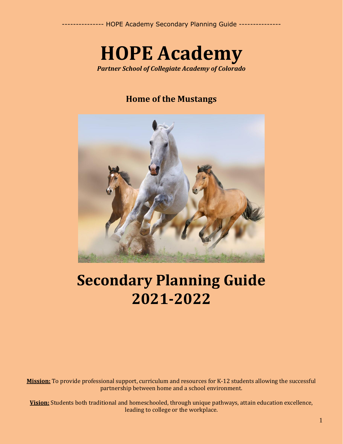# **HOPE Academy**

*Partner School of Collegiate Academy of Colorado*

### **Home of the Mustangs**



## **Secondary Planning Guide 2021-2022**

**Mission:** To provide professional support, curriculum and resources for K-12 students allowing the successful partnership between home and a school environment.

**Vision:** Students both traditional and homeschooled, through unique pathways, attain education excellence, leading to college or the workplace.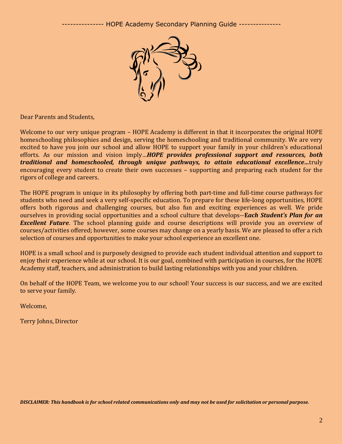

Dear Parents and Students,

Welcome to our very unique program – HOPE Academy is different in that it incorporates the original HOPE homeschooling philosophies and design, serving the homeschooling and traditional community. We are very excited to have you join our school and allow HOPE to support your family in your children's educational efforts. As our mission and vision imply…*HOPE provides professional support and resources, both traditional and homeschooled, through unique pathways, to attain educational excellence…*truly encouraging every student to create their own successes – supporting and preparing each student for the rigors of college and careers.

The HOPE program is unique in its philosophy by offering both part-time and full-time course pathways for students who need and seek a very self-specific education. To prepare for these life-long opportunities, HOPE offers both rigorous and challenging courses, but also fun and exciting experiences as well. We pride ourselves in providing social opportunities and a school culture that develops--**E***ach Student's Plan for an Excellent Future*. The school planning guide and course descriptions will provide you an overview of courses/activities offered; however, some courses may change on a yearly basis. We are pleased to offer a rich selection of courses and opportunities to make your school experience an excellent one.

HOPE is a small school and is purposely designed to provide each student individual attention and support to enjoy their experience while at our school. It is our goal, combined with participation in courses, for the HOPE Academy staff, teachers, and administration to build lasting relationships with you and your children.

On behalf of the HOPE Team, we welcome you to our school! Your success is our success, and we are excited to serve your family.

Welcome,

Terry Johns, Director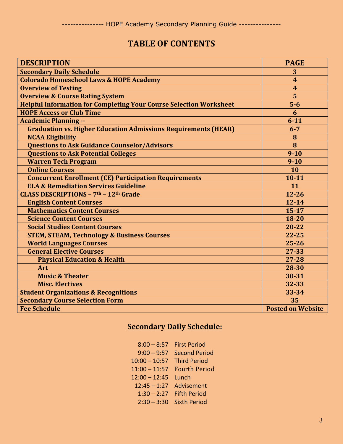### **TABLE OF CONTENTS**

| <b>DESCRIPTION</b>                                                        | <b>PAGE</b>              |
|---------------------------------------------------------------------------|--------------------------|
| <b>Secondary Daily Schedule</b>                                           | 3                        |
| <b>Colorado Homeschool Laws &amp; HOPE Academy</b>                        | $\boldsymbol{4}$         |
| <b>Overview of Testing</b>                                                | $\overline{4}$           |
| <b>Overview &amp; Course Rating System</b>                                | 5                        |
| <b>Helpful Information for Completing Your Course Selection Worksheet</b> | $5-6$                    |
| <b>HOPE Access or Club Time</b>                                           | 6                        |
| <b>Academic Planning --</b>                                               | $6 - 11$                 |
| <b>Graduation vs. Higher Education Admissions Requirements (HEAR)</b>     | $6 - 7$                  |
| <b>NCAA Eligibility</b>                                                   | 8                        |
| <b>Questions to Ask Guidance Counselor/Advisors</b>                       | 8                        |
| <b>Questions to Ask Potential Colleges</b>                                | $9 - 10$                 |
| <b>Warren Tech Program</b>                                                | $9 - 10$                 |
| <b>Online Courses</b>                                                     | 10                       |
| <b>Concurrent Enrollment (CE) Participation Requirements</b>              | $10 - 11$                |
| <b>ELA &amp; Remediation Services Guideline</b>                           | 11                       |
| CLASS DESCRIPTIONS - 7th - 12th Grade                                     | $12 - 26$                |
| <b>English Content Courses</b>                                            | $12 - 14$                |
| <b>Mathematics Content Courses</b>                                        | $15 - 17$                |
| <b>Science Content Courses</b>                                            | 18-20                    |
| <b>Social Studies Content Courses</b>                                     | 20-22                    |
| <b>STEM, STEAM, Technology &amp; Business Courses</b>                     | $22 - 25$                |
| <b>World Languages Courses</b>                                            | $25 - 26$                |
| <b>General Elective Courses</b>                                           | 27-33                    |
| <b>Physical Education &amp; Health</b>                                    | 27-28                    |
| Art                                                                       | 28-30                    |
| <b>Music &amp; Theater</b>                                                | 30-31                    |
| <b>Misc. Electives</b>                                                    | 32-33                    |
| <b>Student Organizations &amp; Recognitions</b>                           | 33-34                    |
| <b>Secondary Course Selection Form</b>                                    | 35                       |
| <b>Fee Schedule</b>                                                       | <b>Posted on Website</b> |

## **Secondary Daily Schedule:**

| $8:00 - 8:57$   | <b>First Period</b>  |
|-----------------|----------------------|
| $9:00 - 9:57$   | <b>Second Period</b> |
| $10:00 - 10:57$ | <b>Third Period</b>  |
| $11:00 - 11:57$ | <b>Fourth Period</b> |
| $12:00 - 12:45$ | Lunch                |
| $12:45 - 1:27$  | Advisement           |
| $1:30 - 2:27$   | <b>Fifth Period</b>  |
| $2:30 - 3:30$   | <b>Sixth Period</b>  |
|                 |                      |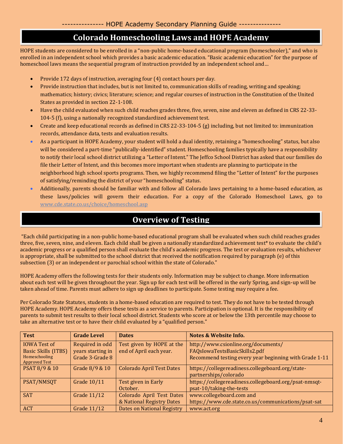### **Colorado Homeschooling Laws and HOPE Academy**

HOPE students are considered to be enrolled in a "non-public home-based educational program (homeschooler)," and who is enrolled in an independent school which provides a basic academic education. "Basic academic education" for the purpose of homeschool laws means the sequential program of instruction provided by an independent school and…

• Provide 172 days of instruction, averaging four (4) contact hours per day.

•

- Provide instruction that includes, but is not limited to, communication skills of reading, writing and speaking; mathematics; history; civics; literature; science; and regular courses of instruction in the Constitution of the United States as provided in section 22-1-108.
- Have the child evaluated when such child reaches grades three, five, seven, nine and eleven as defined in CRS 22-33- 104-5 (f), using a nationally recognized standardized achievement test.
- Create and keep educational records as defined in CRS 22-33-104-5 (g) including, but not limited to: immunization records, attendance data, tests and evaluation results.
- As a participant in HOPE Academy, your student will hold a dual identity, retaining a "homeschooling" status, but also will be considered a part-time "publically-identified" student. Homeschooling families typically have a responsibility to notify their local school district utilizing a "Letter of Intent." The Jeffco School District has asked that our families do file their Letter of Intent, and this becomes more important when students are planning to participate in the neighborhood high school sports programs. Then, we highly recommend filing the "Letter of Intent" for the purposes of satisfying/reminding the district of your "homeschooling" status.
- Additionally, parents should be familiar with and follow all Colorado laws pertaining to a home-based education, as these laws/policies will govern their education. For a copy of the Colorado Homeschool Laws, go to [www.cde.state.co.us/choice/homeschool.asp](http://www.cde.state.co.us/choice/homeschool.asp)

### **Overview of Testing**

"Each child participating in a non-public home-based educational program shall be evaluated when such child reaches grades three, five, seven, nine, and eleven. Each child shall be given a nationally standardized achievement test\* to evaluate the child's academic progress or a qualified person shall evaluate the child's academic progress. The test or evaluation results, whichever is appropriate, shall be submitted to the school district that received the notification required by paragraph (e) of this subsection (3) or an independent or parochial school within the state of Colorado."

HOPE Academy offers the following tests for their students only. Information may be subject to change. More information about each test will be given throughout the year. Sign up for each test will be offered in the early Spring, and sign-up will be taken ahead of time. Parents must adhere to sign up deadlines to participate. Some testing may require a fee.

Per Colorado State Statutes, students in a home-based education are required to test. They do not have to be tested through HOPE Academy. HOPE Academy offers these tests as a service to parents. Participation is optional. It is the responsibility of parents to submit test results to their local school district. Students who score at or below the 13th percentile may choose to take an alternative test or to have their child evaluated by a "qualified person."

| <b>Test</b>                           | <b>Grade Level</b> | <b>Dates</b>                      | <b>Notes &amp; Website Info.</b>                       |
|---------------------------------------|--------------------|-----------------------------------|--------------------------------------------------------|
| <b>IOWA Test of</b>                   | Required in odd    | Test given by HOPE at the         | http://www.csionline.org/documents/                    |
| Basic Skills (ITBS)                   | years starting in  | end of April each year.           | FAQsIowaTestsBasicSkills2.pdf                          |
| Homeschooling<br><b>Approved Test</b> | Grade 3-Grade 8    |                                   | Recommend testing every year beginning with Grade 1-11 |
| PSAT 8/9 & 10                         | Grade 8/9 & 10     | <b>Colorado April Test Dates</b>  | https://collegereadiness.collegeboard.org/state-       |
|                                       |                    |                                   | partnerships/colorado                                  |
| PSAT/NMSQT                            | <b>Grade 10/11</b> | Test given in Early               | https://collegereadiness.collegeboard.org/psat-nmsqt-  |
|                                       |                    | October.                          | psat-10/taking-the-tests                               |
| <b>SAT</b>                            | Grade 11/12        | Colorado April Test Dates         | www.collegeboard.com and                               |
|                                       |                    | & National Registry Dates         | https://www.cde.state.co.us/communications/psat-sat    |
| <b>ACT</b>                            | Grade 11/12        | <b>Dates on National Registry</b> | www.act.org                                            |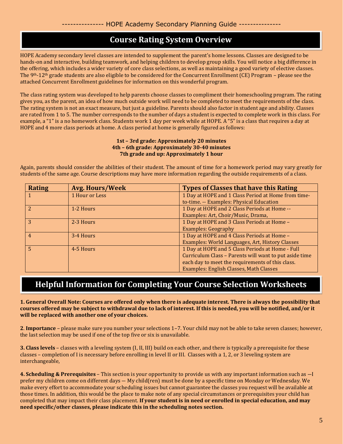### **Course Rating System Overview**

HOPE Academy secondary level classes are intended to supplement the parent's home lessons. Classes are designed to be hands-on and interactive, building teamwork, and helping children to develop group skills. You will notice a big difference in the offering, which includes a wider variety of core class selections, as well as maintaining a good variety of elective classes. The 9<sup>th</sup>-12<sup>th</sup> grade students are also eligible to be considered for the Concurrent Enrollment (CE) Program – please see the attached Concurrent Enrollment guidelines for information on this wonderful program.

The class rating system was developed to help parents choose classes to compliment their homeschooling program. The rating gives you, as the parent, an idea of how much outside work will need to be completed to meet the requirements of the class. The rating system is not an exact measure, but just a guideline. Parents should also factor in student age and ability. Classes are rated from 1 to 5. The number corresponds to the number of days a student is expected to complete work in this class. For example, a "1" is a no homework class. Students work 1 day per week while at HOPE. A "5" is a class that requires a day at HOPE and 4 more class periods at home. A class period at home is generally figured as follows:

#### **1st – 3rd grade: Approximately 20 minutes 4th – 6th grade: Approximately 30-40 minutes 7th grade and up: Approximately 1 hour**

Again, parents should consider the abilities of their student. The amount of time for a homework period may vary greatly for students of the same age. Course descriptions may have more information regarding the outside requirements of a class.

| <b>Rating</b> | <b>Avg. Hours/Week</b> | <b>Types of Classes that have this Rating</b>          |
|---------------|------------------------|--------------------------------------------------------|
|               | 1 Hour or Less         | 1 Day at HOPE and 1 Class Period at Home from time-    |
|               |                        | to-time. -- Examples: Physical Education               |
|               | 1-2 Hours              | 1 Day at HOPE and 2 Class Periods at Home --           |
|               |                        | Examples: Art, Choir/Music, Drama,                     |
|               | 2-3 Hours              | 1 Day at HOPE and 3 Class Periods at Home -            |
|               |                        | <b>Examples: Geography</b>                             |
| 4             | 3-4 Hours              | 1 Day at HOPE and 4 Class Periods at Home -            |
|               |                        | Examples: World Languages, Art, History Classes        |
|               | 4-5 Hours              | 1 Day at HOPE and 5 Class Periods at Home - Full       |
|               |                        | Curriculum Class - Parents will want to put aside time |
|               |                        | each day to meet the requirements of this class.       |
|               |                        | Examples: English Classes, Math Classes                |

### **Helpful Information for Completing Your Course Selection Worksheets**

**1. General Overall Note: Courses are offered only when there is adequate interest. There is always the possibility that courses offered may be subject to withdrawal due to lack of interest. If this is needed, you will be notified, and/or it will be replaced with another one of your choices.**

**2**. **Importance** – please make sure you number your selections 1–7. Your child may not be able to take seven classes; however, the last selection may be used if one of the top five or six is unavailable.

**3. Class levels** – classes with a leveling system (I, II, III) build on each other, and there is typically a prerequisite for these classes – completion of I is necessary before enrolling in level II or III. Classes with a 1, 2, or 3 leveling system are interchangeable,

**4. Scheduling & Prerequisites** – This section is your opportunity to provide us with any important information such as ―I prefer my children come on different days ― My child(ren) must be done by a specific time on Monday or Wednesday. We make every effort to accommodate your scheduling issues but cannot guarantee the classes you request will be available at those times. In addition, this would be the place to make note of any special circumstances or prerequisites your child has completed that may impact their class placement. **If your student is in need or enrolled in special education, and may need specific/other classes, please indicate this in the scheduling notes section.**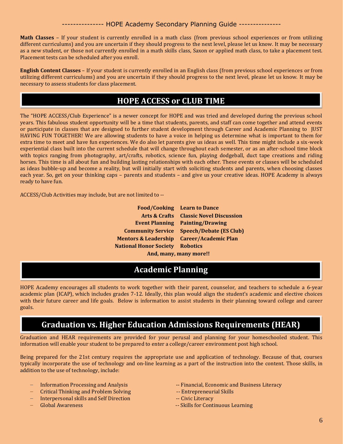**Math Classes** – If your student is currently enrolled in a math class (from previous school experiences or from utilizing different curriculums) and you are uncertain if they should progress to the next level, please let us know. It may be necessary as a new student, or those not currently enrolled in a math skills class, Saxon or applied math class, to take a placement test. Placement tests can be scheduled after you enroll.

**English Content Classes** – If your student is currently enrolled in an English class (from previous school experiences or from utilizing different curriculums) and you are uncertain if they should progress to the next level, please let us know. It may be necessary to assess students for class placement.

### **HOPE ACCESS or CLUB TIME**

The "HOPE ACCESS/Club Experience" is a newer concept for HOPE and was tried and developed during the previous school years. This fabulous student opportunity will be a time that students, parents, and staff can come together and attend events or participate in classes that are designed to further student development through Career and Academic Planning to JUST HAVING FUN TOGETHER! We are allowing students to have a voice in helping us determine what is important to them for extra time to meet and have fun experiences. We do also let parents give us ideas as well. This time might include a six-week experiential class built into the current schedule that will change throughout each semester, or as an after-school time block with topics ranging from photography, art/crafts, robotics, science fun, playing dodgeball, duct tape creations and riding horses. This time is all about fun and building lasting relationships with each other. These events or classes will be scheduled as ideas bubble-up and become a reality, but will initially start with soliciting students and parents, when choosing classes each year. So, get on your thinking caps – parents and students – and give us your creative ideas. HOPE Academy is always ready to have fun.

ACCESS/Club Activities may include, but are not limited to --

í

|                                           | <b>Food/Cooking</b> Learn to Dance                |  |  |
|-------------------------------------------|---------------------------------------------------|--|--|
|                                           | <b>Arts &amp; Crafts</b> Classic Novel Discussion |  |  |
|                                           | <b>Event Planning Painting/Drawing</b>            |  |  |
|                                           | <b>Community Service Speech/Debate (ES Club)</b>  |  |  |
| Mentors & Leadership Career/Academic Plan |                                                   |  |  |
| <b>National Honor Society Robotics</b>    |                                                   |  |  |
| And, many, many more!!                    |                                                   |  |  |

### **Academic Planning**

HOPE Academy encourages all students to work together with their parent, counselor, and teachers to schedule a 6-year academic plan (ICAP), which includes grades 7-12. Ideally, this plan would align the student's academic and elective choices with their future career and life goals. Below is information to assist students in their planning toward college and career goals.

### **Graduation vs. Higher Education Admissions Requirements (HEAR)**

Graduation and HEAR requirements are provided for your perusal and planning for your homeschooled student. This information will enable your student to be prepared to enter a college/career environment post high school.

Being prepared for the 21st century requires the appropriate use and application of technology. Because of that, courses typically incorporate the use of technology and on-line learning as a part of the instruction into the content. Those skills, in addition to the use of technology, include:

- 
- Critical Thinking and Problem Solving --- Entrepreneurial Skills
- Interpersonal skills and Self Direction -- Civic Literacy
- 
- Information Processing and Analysis -- Financial, Economic and Business Literacy
	-
	-
- Global Awareness -- Skills for Continuous Learning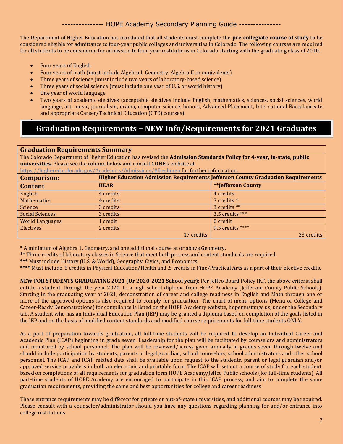The Department of Higher Education has mandated that all students must complete the **pre-collegiate course of study** to be considered eligible for admittance to four-year public colleges and universities in Colorado. The following courses are required for all students to be considered for admission to four-year institutions in Colorado starting with the graduating class of 2010.

• Four years of English

•

- Four years of math (must include Algebra I, Geometry, Algebra II or equivalents)
- Three years of science (must include two years of laboratory-based science)
- Three years of social science (must include one year of U.S. or world history)
- One year of world language
- Two years of academic electives (acceptable electives include English, mathematics, sciences, social sciences, world language, art, music, journalism, drama, computer science, honors, Advanced Placement, International Baccalaureate and appropriate Career/Technical Education (CTE) courses)

### **Graduation Requirements – NEW Info/Requirements for 2021 Graduates**

#### **Graduation Requirements Summary**

The Colorado Department of Higher Education has revised the **Admission Standards Policy for 4-year, in-state, public universities.** Please see the column below and consult COHE's website at <https://highered.colorado.gov/Academics/Admissions/#freshmen> for further information.

| <u>https://inghereu.com/au0.gov/Academics/Audinssions/#Ireshinen</u> for further miorination. |                                                                                         |                   |  |
|-----------------------------------------------------------------------------------------------|-----------------------------------------------------------------------------------------|-------------------|--|
| <b>Comparison:</b>                                                                            | <b>Higher Education Admission Requirements Jefferson County Graduation Requirements</b> |                   |  |
| <b>Content</b>                                                                                | <b>**Jefferson County</b><br><b>HEAR</b>                                                |                   |  |
| English                                                                                       | 4 credits                                                                               | 4 credits         |  |
| <b>Mathematics</b>                                                                            | 4 credits                                                                               | 3 credits *       |  |
| Science                                                                                       | 3 credits                                                                               | 3 credits **      |  |
| <b>Social Sciences</b>                                                                        | 3 credits                                                                               | $3.5$ credits *** |  |
| <b>World Languages</b>                                                                        | 1 credit                                                                                | 0 credit          |  |
| Electives                                                                                     | 2 credits                                                                               | 9.5 credits ****  |  |
|                                                                                               | 17 credits                                                                              | 23 credits        |  |

**\*** A minimum of Algebra 1, Geometry, and one additional course at or above Geometry.

**\*\*** Three credits of laboratory classes in Science that meet both process and content standards are required.

**\*\*\*** Must include History (U.S. & World), Geography, Civics, and Economics.

**\*\*\*\*** Must include .5 credits in Physical Education/Health and .5 credits in Fine/Practical Arts as a part of their elective credits.

**NEW FOR STUDENTS GRADUATING 2021 (Or 2020-2021 School year):** Per Jeffco Board Policy IKF, the above criteria shall entitle a student, through the year 2020, to a high school diploma from HOPE Academy (Jefferson County Public Schools). Starting in the graduating year of 2021, demonstration of career and college readiness in English and Math through one or more of the approved options is also required to comply for graduation. The chart of menu options (Menu of College and Career-Ready Demonstrations) for compliance is listed on the HOPE Academy website, hopemustangs.us, under the Secondary tab. A student who has an Individual Education Plan (IEP) may be granted a diploma based on completion of the goals listed in the IEP and on the basis of modified content standards and modified course requirements for full-time students ONLY.

As a part of preparation towards graduation, all full-time students will be required to develop an Individual Career and Academic Plan (ICAP) beginning in grade seven. Leadership for the plan will be facilitated by counselors and administrators and monitored by school personnel. The plan will be reviewed/access given annually in grades seven through twelve and should include participation by students, parents or legal guardian, school counselors, school administrators and other school personnel. The ICAP and ICAP related data shall be available upon request to the students, parent or legal guardian and/or approved service providers in both an electronic and printable form. The ICAP will set out a course of study for each student, based on completions of all requirements for graduation form HOPE Academy/Jeffco Public schools (for full-time students). All part-time students of HOPE Academy are encouraged to participate in this ICAP process, and aim to complete the same graduation requirements, providing the same and best opportunities for college and career readiness.

These entrance requirements may be different for private or out-of- state universities, and additional courses may be required. Please consult with a counselor/administrator should you have any questions regarding planning for and/or entrance into college institutions.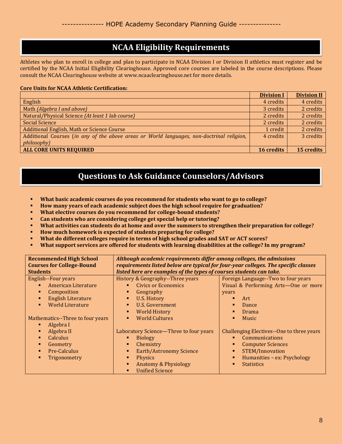### **NCAA Eligibility Requirements**

Athletes who plan to enroll in college and plan to participate in NCAA Division I or Division II athletics must register and be certified by the NCAA Initial Eligibility Clearinghouse. Approved core courses are labeled in the course descriptions. Please consult the NCAA Clearinghouse website at www.ncaaclearinghouse.net for more details.

#### **Core Units for NCAA Athletic Certification:**

|                                                                                           | <b>Division I</b> | <b>Division II</b> |
|-------------------------------------------------------------------------------------------|-------------------|--------------------|
| English                                                                                   | 4 credits         | 4 credits          |
| Math (Algebra I and above)                                                                | 3 credits         | 2 credits          |
| Natural/Physical Science (At least 1 lab course)                                          | 2 credits         | 2 credits          |
| <b>Social Science</b>                                                                     | 2 credits         | 2 credits          |
| Additional English, Math or Science Course                                                | 1 credit          | 2 credits          |
| Additional Courses (in any of the above areas or World languages, non-doctrinal religion, | 4 credits         | 3 credits          |
| philosophy)                                                                               |                   |                    |
| <b>ALL CORE UNITS REQUIRED</b>                                                            | 16 credits        | 15 credits         |

### **Questions to Ask Guidance Counselors/Advisors**

- **What basic academic courses do you recommend for students who want to go to college?**
- **How many years of each academic subject does the high school require for graduation?**
- **What elective courses do you recommend for college-bound students?**
- **Can students who are considering college get special help or tutoring?**
- **What activities can students do at home and over the summers to strengthen their preparation for college?**
- **How much homework is expected of students preparing for college?**
- **What do different colleges require in terms of high school grades and SAT or ACT scores?**
- What support services are offered for students with learning disabilities at the college? In my program?

| <b>Recommended High School</b><br><b>Courses for College-Bound</b>                                                                             | Although academic requirements differ among colleges, the admissions<br>requirements listed below are typical for four-year colleges. The specific classes                                                                                                      |                                                                                                                                                                                                                         |  |
|------------------------------------------------------------------------------------------------------------------------------------------------|-----------------------------------------------------------------------------------------------------------------------------------------------------------------------------------------------------------------------------------------------------------------|-------------------------------------------------------------------------------------------------------------------------------------------------------------------------------------------------------------------------|--|
| <b>Students</b>                                                                                                                                | listed here are examples of the types of courses students can take.                                                                                                                                                                                             |                                                                                                                                                                                                                         |  |
| English--Four years<br>American Literature<br>Composition<br><b>English Literature</b><br><b>World Literature</b><br>п.                        | History & Geography--Three years<br><b>Civics or Economics</b><br>$\blacksquare$<br>Geography<br>٠<br>U.S. History<br>U.S. Government<br>٠                                                                                                                      | Foreign Language--Two to four years<br>Visual & Performing Arts-One or more<br>years<br>Art<br>п<br><b>Dance</b><br>г                                                                                                   |  |
| Mathematics--Three to four years<br>Algebra I<br>٠<br>Algebra II<br>٠<br><b>Calculus</b><br>٠<br>Geometry<br>٠<br>Pre-Calculus<br>Trigonometry | <b>World History</b><br>٠<br><b>World Cultures</b><br>٠<br>Laboratory Science-Three to four years<br><b>Biology</b><br>Chemistry<br>٠<br><b>Earth/Astronomy Science</b><br>٠<br><b>Physics</b><br>٠<br>Anatomy & Physiology<br>٠<br><b>Unified Science</b><br>٠ | Drama<br>г<br><b>Music</b><br>г<br>Challenging Electives--One to three years<br>Communications<br>п<br><b>Computer Sciences</b><br><b>STEM/Innovation</b><br>п<br>Humanities - ex: Psychology<br>٠<br><b>Statistics</b> |  |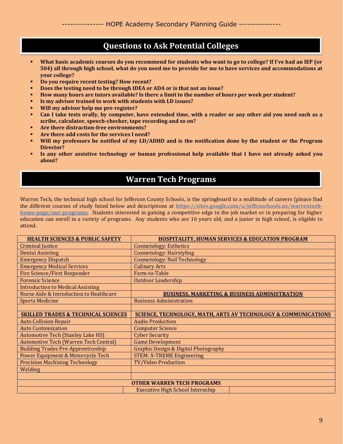### **Questions to Ask Potential Colleges**

- What basic academic courses do you recommend for students who want to go to college? If I've had an IEP (or **504) all through high school, what do you need me to provide for me to have services and accommodations at your college?**
- **Do you require recent testing? How recent?**
- **Does the testing need to be through IDEA or ADA or is that not an issue?**
- **How many hours are tutors available? Is there a limit to the number of hours per week per student?**
- **Is my advisor trained to work with students with LD issues?**
- **Will my advisor help me pre-register?**
- Can I take tests orally, by computer, have extended time, with a reader or any other aid you need such as a **scribe, calculator, speech-checker, tape recording and so on?**
- **Are there distraction-free environments?**
- **Are there add costs for the services I need?**
- Will my professors be notified of my LD/ADHD and is the notification done by the student or the Program **Director?**
- Is any other assistive technology or human professional help available that I have not already asked you **about?**

### **Warren Tech Programs**

Warren Tech, the technical high school for Jefferson County Schools, is the springboard to a multitude of careers (please find the different courses of study listed below and descriptions at **[https://sites.google.com/a/jeffcoschools.us/warrentech](https://sites.google.com/a/jeffcoschools.us/warrentech-home-page/our-programs)[home-page/our-programs](https://sites.google.com/a/jeffcoschools.us/warrentech-home-page/our-programs)**. Students interested in gaining a competitive edge in the job market or in preparing for higher education can enroll in a variety of programs. Any students who are 16 years old, and a junior in high school, is eligible to attend.

| <b>HEALTH SCIENCES &amp; PUBLIC SAFETY</b>     | <b>HOSPITALITY, HUMAN SERVICES &amp; EDUCATION PROGRAM</b>                |  |  |
|------------------------------------------------|---------------------------------------------------------------------------|--|--|
| <b>Criminal Justice</b>                        | <b>Cosmetology: Esthetics</b>                                             |  |  |
| <b>Dental Assisting</b>                        | <b>Cosmetology: Hairstyling</b>                                           |  |  |
| <b>Emergency Dispatch</b>                      | <b>Cosmetology: Nail Technology</b>                                       |  |  |
| <b>Emergency Medical Services</b>              | <b>Culinary Arts</b>                                                      |  |  |
| <b>Fire Science/First Responder</b>            | Farm-to-Table                                                             |  |  |
| <b>Forensic Science</b>                        | <b>Outdoor Leadership</b>                                                 |  |  |
| <b>Introduction to Medical Assisting</b>       |                                                                           |  |  |
| Nurse Aide & Introduction to Healthcare        | <b>BUSINESS, MARKETING &amp; BUSINESS ADMINISTRATION</b>                  |  |  |
| <b>Sports Medicine</b>                         | <b>Business Administration</b>                                            |  |  |
|                                                |                                                                           |  |  |
| <b>SKILLED TRADES &amp; TECHNICAL SCIENCES</b> | <b>SCIENCE, TECHNOLOGY, MATH, ARTS AV TECHNOLOGY &amp; COMMUNICATIONS</b> |  |  |
| <b>Auto Collision Repair</b>                   | <b>Audio Production</b>                                                   |  |  |
| <b>Auto Customization</b>                      | <b>Computer Science</b>                                                   |  |  |
| <b>Automotive Tech (Stanley Lake HS)</b>       | <b>Cyber Security</b>                                                     |  |  |
| <b>Automotive Tech (Warren Tech Central)</b>   | <b>Game Development</b>                                                   |  |  |
| <b>Building Trades Pre-Apprenticeship</b>      | <b>Graphic Design &amp; Digital Photography</b>                           |  |  |
| Power Equipment & Motorcycle Tech              | <b>STEM: X-TREME Engineering</b>                                          |  |  |
| <b>Precision Machining Technology</b>          | <b>TV/Video Production</b>                                                |  |  |
| Welding                                        |                                                                           |  |  |
|                                                |                                                                           |  |  |
| <b>OTHER WARREN TECH PROGRAMS</b>              |                                                                           |  |  |
|                                                | <b>Executive High School Internship</b>                                   |  |  |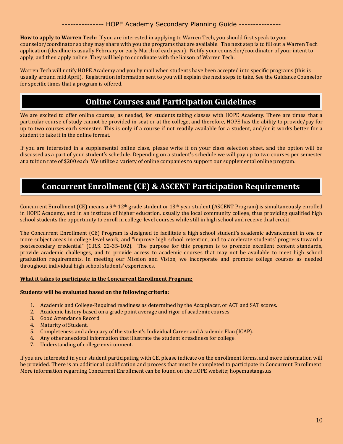**How to apply to Warren Tech:** If you are interested in applying to Warren Tech, you should first speak to your counselor/coordinator so they may share with you the programs that are available. The next step is to fill out a Warren Tech application (deadline is usually February or early March of each year). Notify your counselor/coordinator of your intent to apply, and then apply online. They will help to coordinate with the liaison of Warren Tech.

Warren Tech will notify HOPE Academy and you by mail when students have been accepted into specific programs (this is usually around mid April). Registration information sent to you will explain the next steps to take. See the Guidance Counselor for specific times that a program is offered.

### **Online Courses and Participation Guidelines**

We are excited to offer online courses, as needed, for students taking classes with HOPE Academy. There are times that a particular course of study cannot be provided in-seat or at the college, and therefore, HOPE has the ability to provide/pay for up to two courses each semester. This is only if a course if not readily available for a student, and/or it works better for a student to take it in the online format.

If you are interested in a supplemental online class, please write it on your class selection sheet, and the option will be discussed as a part of your student's schedule. Depending on a student's schedule we will pay up to two courses per semester at a tuition rate of \$200 each. We utilize a variety of online companies to support our supplemental online program.

### **Concurrent Enrollment (CE) & ASCENT Participation Requirements**

Concurrent Enrollment (CE) means a 9<sup>th</sup>-12<sup>th</sup> grade student or 13<sup>th</sup> year student (ASCENT Program) is simultaneously enrolled in HOPE Academy, and in an institute of higher education, usually the local community college, thus providing qualified high school students the opportunity to enroll in college-level courses while still in high school and receive dual credit.

The Concurrent Enrollment (CE) Program is designed to facilitate a high school student's academic advancement in one or more subject areas in college level work, and "improve high school retention, and to accelerate students' progress toward a postsecondary credential" (C.R.S. 22-35-102). The purpose for this program is to promote excellent content standards, provide academic challenges, and to provide access to academic courses that may not be available to meet high school graduation requirements. In meeting our Mission and Vision, we incorporate and promote college courses as needed throughout individual high school students' experiences.

#### **What it takes to participate in the Concurrent Enrollment Program:**

#### **Students will be evaluated based on the following criteria:**

- 1. Academic and College-Required readiness as determined by the Accuplacer, or ACT and SAT scores.
- 2. Academic history based on a grade point average and rigor of academic courses.
- 3. Good Attendance Record.
- 4. Maturity of Student.
- 5. Completeness and adequacy of the student's Individual Career and Academic Plan (ICAP).
- 6. Any other anecdotal information that illustrate the student's readiness for college.
- 7. Understanding of college environment.

If you are interested in your student participating with CE, please indicate on the enrollment forms, and more information will be provided. There is an additional qualification and process that must be completed to participate in Concurrent Enrollment. More information regarding Concurrent Enrollment can be found on the HOPE website; hopemustangs.us.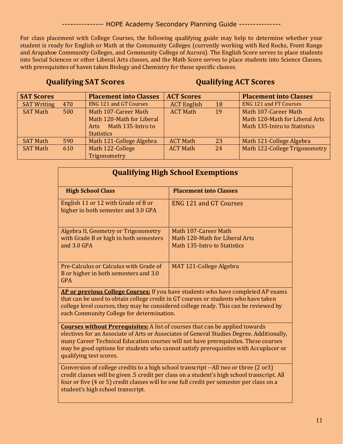For class placement with College Courses, the following qualifying guide may help to determine whether your student is ready for English or Math at the Community Colleges (currently working with Red Rocks, Front Range and Arapahoe Community Colleges, and Community College of Aurora). The English Score serves to place students into Social Sciences or other Liberal Arts classes, and the Math Score serves to place students into Science Classes, with prerequisites of haven taken Biology and Chemistry for those specific classes.

### **Qualifying SAT Scores Qualifying ACT Scores**

| <b>SAT Scores</b>  |     | <b>Placement into Classes</b> | <b>ACT Scores</b>  |    | <b>Placement into Classes</b>  |
|--------------------|-----|-------------------------------|--------------------|----|--------------------------------|
| <b>SAT Writing</b> | 470 | <b>ENG 121 and GT Courses</b> | <b>ACT English</b> | 18 | <b>ENG 121 and FT Courses</b>  |
| <b>SAT Math</b>    | 500 | Math 107-Career Math          | <b>ACT Math</b>    | 19 | Math 107-Career Math           |
|                    |     | Math 120-Math for Liberal     |                    |    | Math 120-Math for Liberal Arts |
|                    |     | Math 135-Intro to<br>Arts     |                    |    | Math 135-Intro to Statistics   |
|                    |     | <b>Statistics</b>             |                    |    |                                |
| <b>SAT Math</b>    | 590 | Math 121-College Algebra      | <b>ACT Math</b>    | 23 | Math 121-College Algebra       |
| <b>SAT Math</b>    | 610 | Math 122-College              | <b>ACT Math</b>    | 24 | Math 122-College Trigonometry  |
|                    |     | Trigonometry                  |                    |    |                                |

| <b>Qualifying High School Exemptions</b>                                                                                                                                                                                                                                                                                                                                                  |                                                                |  |  |
|-------------------------------------------------------------------------------------------------------------------------------------------------------------------------------------------------------------------------------------------------------------------------------------------------------------------------------------------------------------------------------------------|----------------------------------------------------------------|--|--|
| <b>High School Class</b>                                                                                                                                                                                                                                                                                                                                                                  | <b>Placement into Classes</b>                                  |  |  |
| English 11 or 12 with Grade of B or<br>higher in both semester and 3.0 GPA                                                                                                                                                                                                                                                                                                                | <b>ENG 121 and GT Courses</b>                                  |  |  |
| Algebra II, Geometry or Trigonometry                                                                                                                                                                                                                                                                                                                                                      | Math 107-Career Math                                           |  |  |
| with Grade B or high in both semesters<br>and $3.0$ GPA                                                                                                                                                                                                                                                                                                                                   | Math 120-Math for Liberal Arts<br>Math 135-Intro to Statistics |  |  |
| Pre-Calculus or Calculus with Grade of<br>B or higher in both semesters and 3.0<br><b>GPA</b>                                                                                                                                                                                                                                                                                             | MAT 121-College Algebra                                        |  |  |
| AP or previous College Courses: If you have students who have completed AP exams<br>that can be used to obtain college credit in GT courses or students who have taken<br>college level courses, they may be considered college ready. This can be reviewed by<br>each Community College for determination.                                                                               |                                                                |  |  |
| <b>Courses without Prerequisites:</b> A list of courses that can be applied towards<br>electives for an Associate of Arts or Associates of General Studies Degree. Additionally,<br>many Career Technical Education courses will not have prerequisites. These courses<br>may be good options for students who cannot satisfy prerequisites with Accuplacer or<br>qualifying test scores. |                                                                |  |  |
| Conversion of college credits to a high school transcript --All two or three (2 or3)<br>credit classes will be given .5 credit per class on a student's high school transcript. All<br>four or five (4 or 5) credit classes will be one full credit per semester per class on a<br>student's high school transcript.                                                                      |                                                                |  |  |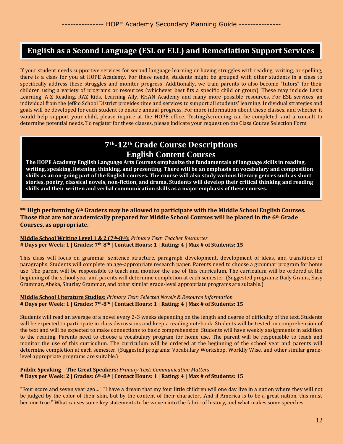### **English as a Second Language (ESL or ELL) and Remediation Support Services**

If your student needs supportive services for second language learning or having struggles with reading, writing, or spelling, there is a class for you at HOPE Academy. For these needs, students might be grouped with other students in a class to specifically address these struggles and monitor progress. Additionally, we train parents to also become "tutors" for their children using a variety of programs or resources (whichever best fits a specific child or group). These may include Lexia Learning, A-Z Reading, RAZ Kids, Learning Ally, KHAN Academy and many more possible resources. For ESL services, an individual from the Jeffco School District provides time and services to support all students' learning. Individual strategies and goals will be developed for each student to ensure annual progress. For more information about these classes, and whether it would help support your child, please inquire at the HOPE office. Testing/screening can be completed, and a consult to determine potential needs. To register for these classes, please indicate your request on the Class Course Selection Form.

### **7th-12th Grade Course Descriptions English Content Courses**

**The HOPE Academy English Language Arts Courses emphasize the fundamentals of language skills in reading, writing, speaking, listening, thinking, and presenting. There will be an emphasis on vocabulary and composition skills as an on-going part of the English courses. The course will also study various literary genres such as short stories, poetry, classical novels, non-fiction, and drama. Students will develop their critical thinking and reading skills and their written and verbal communication skills as a major emphasis of these courses.**

#### **\*\* High performing 6th Graders may be allowed to participate with the Middle School English Courses. Those that are not academically prepared for Middle School Courses will be placed in the 6th Grade Courses, as appropriate.**

#### **Middle School Writing Level 1 & 2 (7th-8th):** *Primary Text: Teacher Resources* **# Days per Week: 1 | Grades: 7th-8th | Contact Hours: 1 | Rating: 4 | Max # of Students: 15**

This class will focus on grammar, sentence structure, paragraph development, development of ideas, and transitions of paragraphs. Students will complete an age-appropriate research paper. Parents need to choose a grammar program for home use. The parent will be responsible to teach and monitor the use of this curriculum. The curriculum will be ordered at the beginning of the school year and parents will determine completion at each semester. (Suggested programs: Daily Grams, Easy Grammar, Abeka, Shurley Grammar, and other similar grade-level appropriate programs are suitable.)

#### **Middle School Literature Studies:** *Primary Text: Selected Novels & Resource Information* **# Days per Week: 1 | Grades: 7th-8th | Contact Hours: 1 | Rating: 4 | Max # of Students: 15**

Students will read an average of a novel every 2-3 weeks depending on the length and degree of difficulty of the text. Students will be expected to participate in class discussions and keep a reading notebook. Students will be tested on comprehension of the text and will be expected to make connections to basic comprehension. Students will have weekly assignments in addition to the reading. Parents need to choose a vocabulary program for home use. The parent will be responsible to teach and monitor the use of this curriculum. The curriculum will be ordered at the beginning of the school year and parents will determine completion at each semester. (Suggested programs: Vocabulary Workshop, Worldly Wise, and other similar gradelevel appropriate programs are suitable.)

#### **Public Speaking – The Great Speakers:** *Primary Text: Communication Matters* **# Days per Week: 2 | Grades: 6th-8th | Contact Hours: 1 | Rating: 4 | Max # of Students: 15**

"Four score and seven year ago…" "I have a dream that my four little children will one day live in a nation where they will not be judged by the color of their skin, but by the content of their character…And if America is to be a great nation, this must become true." What causes some key statements to be woven into the fabric of history, and what makes some speeches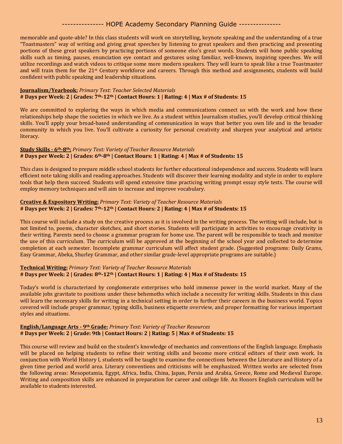memorable and quote-able? In this class students will work on storytelling, keynote speaking and the understanding of a true "Toastmasters" way of writing and giving great speeches by listening to great speakers and then practicing and presenting portions of these great speakers by practicing portions of someone else's great words. Students will hone public speaking skills such as timing, pauses, enunciation eye contact and gestures using familiar, well-known, inspiring speeches. We will utilize recordings and watch videos to critique some more modern speakers. They will learn to speak like a true Toastmaster and will train them for the 21st Century workforce and careers. Through this method and assignments, students will build confident with public speaking and leadership situations.

#### **Journalism/Yearbook:** *Primary Text: Teacher Selected Materials* **# Days per Week: 2 | Grades: 7th-12th | Contact Hours: 1 | Rating: 4 | Max # of Students: 15**

We are committed to exploring the ways in which media and communications connect us with the work and how these relationships help shape the societies in which we live. As a student within Journalism studies, you'll develop critical thinking skills. You'll apply your broad-based understanding of communication in ways that better you own life and in the broader community in which you live. You'll cultivate a curiosity for personal creativity and sharpen your analytical and artistic literacy.

#### **Study Skills - 6th-8th:** *Primary Text: Variety of Teacher Resource Materials* **# Days per Week: 2 | Grades: 6th-8th | Contact Hours: 1 | Rating: 4 | Max # of Students: 15**

This class is designed to prepare middle school students for further educational independence and success. Students will learn efficient note taking skills and reading approaches. Students will discover their learning modality and style in order to explore tools that help them succeed. Students will spend extensive time practicing writing prompt essay style tests. The course will employ memory techniques and will aim to increase and improve vocabulary.

#### **Creative & Expository Writing:** *Primary Text: Variety of Teacher Resource Materials* **# Days per Week: 2 | Grades: 7th-12th | Contact Hours: 2 | Rating: 4 | Max # of Students: 15**

This course will include a study on the creative process as it is involved in the writing process. The writing will include, but is not limited to, poems, character sketches, and short stories. Students will participate in activities to encourage creativity in their writing. Parents need to choose a grammar program for home use. The parent will be responsible to teach and monitor the use of this curriculum. The curriculum will be approved at the beginning of the school year and collected to determine completion at each semester. Incomplete grammar curriculum will affect student grade. (Suggested programs: Daily Grams, Easy Grammar, Abeka, Shurley Grammar, and other similar grade-level appropriate programs are suitable.)

#### **Technical Writing:** *Primary Text: Variety of Teacher Resource Materials* **# Days per Week: 2 | Grades: 8th-12th | Contact Hours: 1 | Rating: 4 | Max # of Students: 15**

Today's world is characterized by conglomerate enterprises who hold immense power in the world market. Many of the available jobs gravitate to positions under these behemoths which include a necessity for writing skills. Students in this class will learn the necessary skills for writing in a technical setting in order to further their careers in the business world. Topics covered will include proper grammar, typing skills, business etiquette overview, and proper formatting for various important styles and situations.

#### **English/Language Arts - 9th Grade:** *Primary Text: Variety of Teacher Resources* **# Days per Week: 2 | Grade: 9th | Contact Hours: 2 | Rating: 5 | Max # of Students: 15**

This course will review and build on the student's knowledge of mechanics and conventions of the English language. Emphasis will be placed on helping students to refine their writing skills and become more critical editors of their own work. In conjunction with World History I, students will be taught to examine the connections between the Literature and History of a given time period and world area. Literary conventions and criticisms will be emphasized. Written works are selected from the following areas: Mesopotamia, Egypt, Africa, India, China, Japan, Persia and Arabia, Greece, Rome and Medieval Europe. Writing and composition skills are enhanced in preparation for career and college life. An Honors English curriculum will be available to students interested.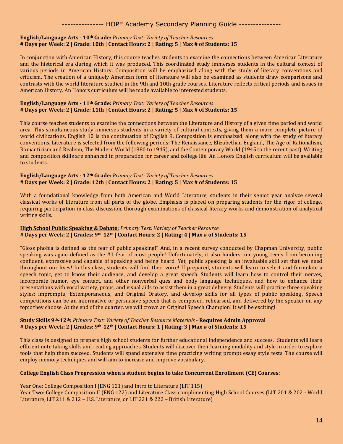#### **English/Language Arts - 10th Grade:** *Primary Text: Variety of Teacher Resources* **# Days per Week: 2 | Grade: 10th | Contact Hours: 2 | Rating: 5 | Max # of Students: 15**

In conjunction with American History, this course teaches students to examine the connections between American Literature and the historical era during which it was produced. This coordinated study immerses students in the cultural context of various periods in American History. Composition will be emphasized along with the study of literary conventions and criticism. The creation of a uniquely American form of literature will also be examined as students draw comparisons and contrasts with the world literature studied in the 9th and 10th grade courses. Literature reflects critical periods and issues in American History. An Honors curriculum will be made available to interested students.

#### **English/Language Arts - 11th Grade:** *Primary Text: Variety of Teacher Resources* **# Days per Week: 2 | Grade: 11th | Contact Hours: 2 | Rating: 5 | Max # of Students: 15**

This course teaches students to examine the connections between the Literature and History of a given time period and world area. This simultaneous study immerses students in a variety of cultural contexts, giving them a more complete picture of world civilizations. English 10 is the continuation of English 9. Composition is emphasized, along with the study of literary conventions. Literature is selected from the following periods: The Renaissance, Elizabethan England, The Age of Rationalism, Romanticism and Realism, The Modern World (1880 to 1945), and the Contemporary World (1945 to the recent past). Writing and composition skills are enhanced in preparation for career and college life. An Honors English curriculum will be available to students.

#### **English/Language Arts - 12th Grade:** *Primary Text: Variety of Teacher Resources* **# Days per Week: 2 | Grade: 12th | Contact Hours: 2 | Rating: 5 | Max # of Students: 15**

With a foundational knowledge from both American and World Literature, students in their senior year analyze several classical works of literature from all parts of the globe. Emphasis is placed on preparing students for the rigor of college, requiring participation in class discussion, thorough examinations of classical literary works and demonstration of analytical writing skills.

#### **High School Public Speaking & Debate:** *Primary Text: Variety of Teacher Resource* **# Days per Week: 2 | Grades: 9th-12th | Contact Hours: 2 | Rating: 4 | Max # of Students: 15**

"Gloss phobia is defined as the fear of public speaking!" And, in a recent survey conducted by Chapman University, public speaking was again defined as the #1 fear of most people! Unfortunately, it also hinders our young teens from becoming confident, expressive and capable of speaking and being heard. Yet, public speaking is an invaluable skill set that we need throughout our lives! In this class, students will find their voice! If prepared, students will learn to select and formulate a speech topic, get to know their audience, and develop a great speech. Students will learn how to control their nerves, incorporate humor, eye contact, and other nonverbal ques and body language techniques, and how to enhance their presentations with vocal variety, props, and visual aids to assist them in a great delivery. Students will practice three speaking styles; impromptu, Extemporaneous, and Original Oratory, and develop skills for all types of public speaking. Speech competitions can be an informative or persuasive speech that is composed, rehearsed, and delivered by the speaker on any topic they choose. At the end of the quarter, we will crown an Original Speech Champion! It will be exciting!

#### **Study Skills 9th-12th:** *Primary Text: Variety of Teacher Resource Materials* - **Requires Admin Approval # Days per Week: 2 | Grades: 9th-12th | Contact Hours: 1 | Rating: 3 | Max # of Students: 15**

This class is designed to prepare high school students for further educational independence and success. Students will learn efficient note taking skills and reading approaches. Students will discover their learning modality and style in order to explore tools that help them succeed. Students will spend extensive time practicing writing prompt essay style tests. The course will employ memory techniques and will aim to increase and improve vocabulary.

#### **College English Class Progression when a student begins to take Concurrent Enrollment (CE) Courses:**

Year One: College Composition I (ENG 121) and Intro to Literature (LIT 115) Year Two: College Composition II (ENG 122) and Literature Class complimenting High School Courses (LIT 201 & 202 - World Literature, LIT 211 & 212 – U.S. Literature, or LIT 221 & 222 – British Literature)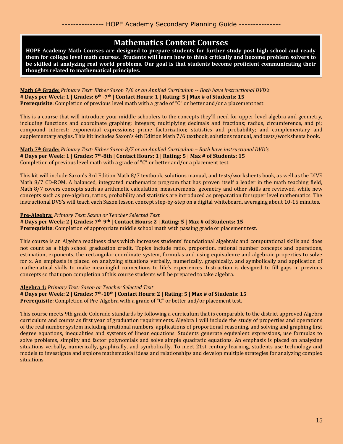### **Mathematics Content Courses**

**HOPE Academy Math Courses are designed to prepare students for further study post high school and ready them for college level math courses. Students will learn how to think critically and become problem solvers to be skilled at analyzing real world problems. Our goal is that students become proficient communicating their thoughts related to mathematical principles.**

**Math 6th Grade:** *Primary Text: Either Saxon 7/6 or an Applied Curriculum -- Both have instructional DVD's* **# Days per Week: 1 | Grades: 6th -7th | Contact Hours: 1 | Rating: 5 | Max # of Students: 15 Prerequisite**: Completion of previous level math with a grade of "C" or better and/or a placement test.

This is a course that will introduce your middle-schoolers to the concepts they'll need for upper-level algebra and geometry, including functions and coordinate graphing; integers; multiplying decimals and fractions; radius, circumference, and pi; compound interest; exponential expressions; prime factorization; statistics and probability; and complementary and supplementary angles. This kit includes Saxon's 4th Edition Math 7/6 textbook, solutions manual, and tests/worksheets book.

**Math 7th Grade:** *Primary Text: Either Saxon 8/7 or an Applied Curriculum – Both have instructional DVD's.* **# Days per Week: 1 | Grades: 7th-8th | Contact Hours: 1 | Rating: 5 | Max # of Students: 15** Completion of previous level math with a grade of "C" or better and/or a placement test.

This kit will include Saxon's 3rd Edition Math 8/7 textbook, solutions manual, and tests/worksheets book, as well as the DIVE Math 8/7 CD-ROM. A balanced, integrated mathematics program that has proven itself a leader in the math teaching field, Math 8/7 covers concepts such as arithmetic calculation, measurements, geometry and other skills are reviewed, while new concepts such as pre-algebra, ratios, probability and statistics are introduced as preparation for upper level mathematics. The instructional DVS's will teach each Saxon lesson concept step-by-step on a digital whiteboard, averaging about 10-15 minutes.

#### **Pre-Algebra:** *Primary Text: Saxon or Teacher Selected Text*

 $\overline{\phantom{a}}$ 

#### **# Days per Week: 2 | Grades: 7th-9th | Contact Hours: 2 | Rating: 5 | Max # of Students: 15**

**Prerequisite**: Completion of appropriate middle school math with passing grade or placement test.

This course is an Algebra readiness class which increases students' foundational algebraic and computational skills and does not count as a high school graduation credit. Topics include ratio, proportion, rational number concepts and operations, estimation, exponents, the rectangular coordinate system, formulas and using equivalence and algebraic properties to solve for x. An emphasis is placed on analyzing situations verbally, numerically, graphically, and symbolically and application of mathematical skills to make meaningful connections to life's experiences. Instruction is designed to fill gaps in previous concepts so that upon completion of this course students will be prepared to take algebra.

#### **Algebra 1:** *Primary Text: Saxon or Teacher Selected Text*

**# Days per Week: 2 | Grades: 7th-10th | Contact Hours: 2 | Rating: 5 | Max # of Students: 15**

**Prerequisite**: Completion of Pre-Algebra with a grade of "C" or better and/or placement test.

This course meets 9th grade Colorado standards by following a curriculum that is comparable to the district approved Algebra curriculum and counts as first year of graduation requirements. Algebra I will include the study of properties and operations of the real number system including irrational numbers, applications of proportional reasoning, and solving and graphing first degree equations, inequalities and systems of linear equations. Students generate equivalent expressions, use formulas to solve problems, simplify and factor polynomials and solve simple quadratic equations. An emphasis is placed on analyzing situations verbally, numerically, graphically, and symbolically. To meet 21st century learning, students use technology and models to investigate and explore mathematical ideas and relationships and develop multiple strategies for analyzing complex situations.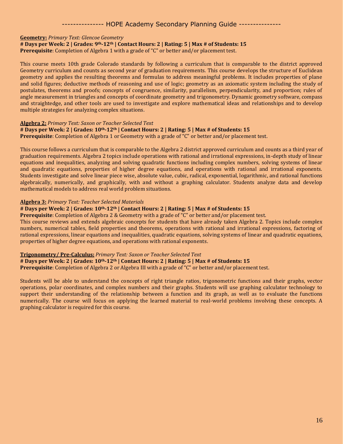#### **Geometry:** *Primary Text: Glencoe Geometry*

**# Days per Week: 2 | Grades: 9th-12th | Contact Hours: 2 | Rating: 5 | Max # of Students: 15**

**Prerequisite**: Completion of Algebra 1 with a grade of "C" or better and/or placement test.

This course meets 10th grade Colorado standards by following a curriculum that is comparable to the district approved Geometry curriculum and counts as second year of graduation requirements. This course develops the structure of Euclidean geometry and applies the resulting theorems and formulas to address meaningful problems. It includes properties of plane and solid figures; deductive methods of reasoning and use of logic; geometry as an axiomatic system including the study of postulates, theorems and proofs; concepts of congruence, similarity, parallelism, perpendicularity, and proportion; rules of angle measurement in triangles and concepts of coordinate geometry and trigonometry. Dynamic geometry software, compass and straightedge, and other tools are used to investigate and explore mathematical ideas and relationships and to develop multiple strategies for analyzing complex situations.

#### **Algebra 2:** *Primary Text: Saxon or Teacher Selected Text*

#### **# Days per Week: 2 | Grades: 10th-12th | Contact Hours: 2 | Rating: 5 | Max # of Students: 15**

**Prerequisite**: Completion of Algebra 1 or Geometry with a grade of "C" or better and/or placement test.

This course follows a curriculum that is comparable to the Algebra 2 district approved curriculum and counts as a third year of graduation requirements. Algebra 2 topics include operations with rational and irrational expressions, in-depth study of linear equations and inequalities, analyzing and solving quadratic functions including complex numbers, solving systems of linear and quadratic equations, properties of higher degree equations, and operations with rational and irrational exponents. Students investigate and solve linear piece wise, absolute value, cubic, radical, exponential, logarithmic, and rational functions algebraically, numerically, and graphically, with and without a graphing calculator. Students analyze data and develop mathematical models to address real world problem situations.

#### **Algebra 3:** *Primary Text: Teacher Selected Materials*

#### **# Days per Week: 2 | Grades: 10th-12th | Contact Hours: 2 | Rating: 5 | Max # of Students: 15**

**Prerequisite**: Completion of Algebra 2 & Geometry with a grade of "C" or better and/or placement test.

This course reviews and extends algebraic concepts for students that have already taken Algebra 2. Topics include complex numbers, numerical tables, field properties and theorems, operations with rational and irrational expressions, factoring of rational expressions, linear equations and inequalities, quadratic equations, solving systems of linear and quadratic equations, properties of higher degree equations, and operations with rational exponents.

#### **Trigonometry/ Pre-Calculus:** *Primary Text: Saxon or Teacher Selected Text*

#### **# Days per Week: 2 | Grades: 10th-12th | Contact Hours: 2 | Rating: 5 | Max # of Students: 15**

**Prerequisite**: Completion of Algebra 2 or Algebra III with a grade of "C" or better and/or placement test.

Students will be able to understand the concepts of right triangle ratios, trigonometric functions and their graphs, vector operations, polar coordinates, and complex numbers and their graphs. Students will use graphing calculator technology to support their understanding of the relationship between a function and its graph, as well as to evaluate the functions numerically. The course will focus on applying the learned material to real-world problems involving these concepts. A graphing calculator is required for this course.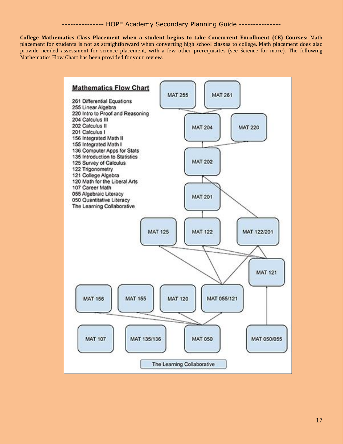**College Mathematics Class Placement when a student begins to take Concurrent Enrollment (CE) Courses:** Math placement for students is not as straightforward when converting high school classes to college. Math placement does also provide needed assessment for science placement, with a few other prerequisites (see Science for more). The following Mathematics Flow Chart has been provided for your review.

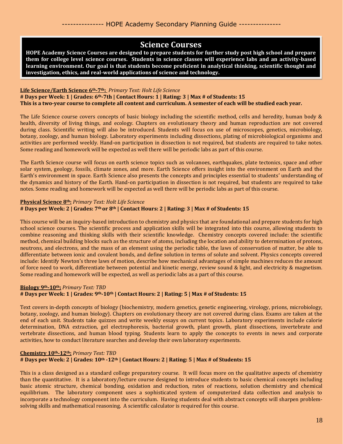### **Science Courses**

**HOPE Academy Science Courses are designed to prepare students for further study post high school and prepare them for college level science courses. Students in science classes will experience labs and an activity-based learning environment. Our goal is that students become proficient in analytical thinking, scientific thought and investigation, ethics, and real-world applications of science and technology.**

#### **Life Science/Earth Science 6th-7th:** *Primary Text: Holt Life Science*

**# Days per Week: 1 | Grades: 6th-7th | Contact Hours: 1 | Rating: 3 | Max # of Students: 15 This is a two-year course to complete all content and curriculum. A semester of each will be studied each year.**

The Life Science course covers concepts of basic biology including the scientific method, cells and heredity, human body & health, diversity of living things, and ecology. Chapters on evolutionary theory and human reproduction are not covered during class. Scientific writing will also be introduced. Students will focus on use of microscopes, genetics, microbiology, botany, zoology, and human biology. Laboratory experiments including dissections, plating of microbiological organisms and activities are performed weekly. Hand-on participation in dissection is not required, but students are required to take notes. Some reading and homework will be expected as well there will be periodic labs as part of this course.

The Earth Science course will focus on earth science topics such as volcanoes, earthquakes, plate tectonics, space and other solar system, geology, fossils, climate zones, and more. Earth Science offers insight into the environment on Earth and the Earth's environment in space. Earth Science also presents the concepts and principles essential to students' understanding of the dynamics and history of the Earth. Hand-on participation in dissection is not required, but students are required to take notes. Some reading and homework will be expected as well there will be periodic labs as part of this course.

#### **Physical Science 8th:** *Primary Text: Holt Life Science* **# Days per Week: 2 | Grades: 7th or 8th | Contact Hours: 2 | Rating: 3 | Max # of Students: 15**

This course will be an inquiry-based introduction to chemistry and physics that are foundational and prepare students for high school science courses. The scientific process and application skills will be integrated into this course, allowing students to combine reasoning and thinking skills with their scientific knowledge. Chemistry concepts covered include: the scientific method, chemical building blocks such as the structure of atoms, including the location and ability to determination of protons, neutrons, and electrons, and the mass of an element using the periodic table, the laws of conservation of matter, be able to differentiate between ionic and covalent bonds, and define solution in terms of solute and solvent. Physics concepts covered include: Identify Newton's three laws of motion, describe how mechanical advantages of simple machines reduces the amount of force need to work, differentiate between potential and kinetic energy, review sound & light, and electricity & magnetism. Some reading and homework will be expected, as well as periodic labs as a part of this course.

#### **Biology 9th-10th:** *Primary Text: TBD*

#### **# Days per Week: 1 | Grades: 9th-10th | Contact Hours: 2 | Rating: 5 | Max # of Students: 15**

Text covers in-depth concepts of biology (biochemistry, modern genetics, genetic engineering, virology, prions, microbiology, botany, zoology, and human biology). Chapters on evolutionary theory are not covered during class. Exams are taken at the end of each unit. Students take quizzes and write weekly essays on current topics. Laboratory experiments include calorie determination, DNA extraction, gel electrophoresis, bacterial growth, plant growth, plant dissections, invertebrate and vertebrate dissections, and human blood typing. Students learn to apply the concepts to events in news and corporate activities, how to conduct literature searches and develop their own laboratory experiments.

#### **Chemistry 10th-12th:** *Primary Text: TBD* **# Days per Week: 2 | Grades: 10th -12th | Contact Hours: 2 | Rating: 5 | Max # of Students: 15**

This is a class designed as a standard college preparatory course. It will focus more on the qualitative aspects of chemistry than the quantitative. It is a laboratory/lecture course designed to introduce students to basic chemical concepts including basic atomic structure, chemical bonding, oxidation and reduction, rates of reactions, solution chemistry and chemical equilibrium. The laboratory component uses a sophisticated system of computerized data collection and analysis to incorporate a technology component into the curriculum. Having students deal with abstract concepts will sharpen problemsolving skills and mathematical reasoning. A scientific calculator is required for this course.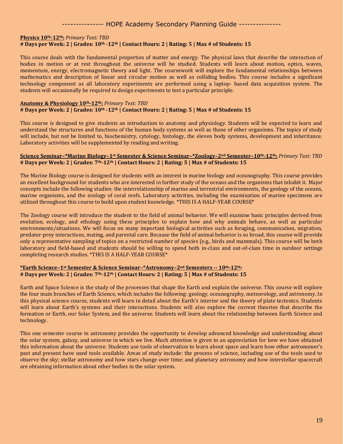#### **Physics 10th-12th:** *Primary Text: TBD* **# Days per Week: 2 | Grades: 10th -12th | Contact Hours: 2 | Rating: 5 | Max # of Students: 15**

This course deals with the fundamental properties of matter and energy. The physical laws that describe the interaction of bodies in motion or at rest throughout the universe will be studied. Students will learn about motion, optics, waves, momentum, energy, electromagnetic theory and light. The coursework will explore the fundamental relationships between mathematics and description of linear and circular motion as well as colliding bodies. This course includes a significant technology component as all laboratory experiments are performed using a laptop- based data acquisition system. The students will occasionally be required to design experiments to test a particular principle.

#### **Anatomy & Physiology 10th-12th:** *Primary Text: TBD* **# Days per Week: 2 | Grades: 10th -12th | Contact Hours: 2 | Rating: 5 | Max # of Students: 15**

This course is designed to give students an introduction to anatomy and physiology. Students will be expected to learn and understand the structures and functions of the human body systems as well as those of other organisms. The topics of study will include, but not be limited to, biochemistry, cytology, histology, the eleven body systems, development and inheritance. Laboratory activities will be supplemented by reading and writing.

#### Science Seminar-\*Marine Biology-1<sup>st</sup> Semester & Science Seminar-\*Zoology-2<sup>nd</sup> Semester-10<sup>th</sup>-12<sup>th</sup>: Primary Text: TBD **# Days per Week: 2 | Grades: 7th-12th | Contact Hours: 2 | Rating: 5 | Max # of Students: 15**

The Marine Biology course is designed for students with an interest in marine biology and oceanography. This course provides an excellent background for students who are interested in further study of the oceans and the organisms that inhabit it. Major concepts include the following studies: the interrelationship of marine and terrestrial environments, the geology of the oceans, marine organisms, and the ecology of coral reefs. Laboratory activities, including the examination of marine specimens are utilized throughout this course to build upon student knowledge. \*THIS IS A HALF-YEAR COURSE\*

The Zoology course will introduce the student to the field of animal behavior. We will examine basic principles derived from evolution, ecology, and ethology using these principles to explain how and why animals behave, as well as particular environments/situations. We will focus on many important biological activities such as foraging, communication, migration, predator-prey interactions, mating, and parental care. Because the field of animal behavior is so broad, this course will provide only a representative sampling of topics on a restricted number of species (e.g., birds and mammals). This course will be both laboratory and field-based and students should be willing to spend both in-class and out-of-class time in outdoor settings completing research studies. \*THIS IS A HALF-YEAR COURSE\*

#### **\*Earth Science–1st Semester & Science Seminar–\*Astronomy–2nd Semesters -- 10th-12th: # Days per Week: 2 | Grades: 7th-12th | Contact Hours: 2 | Rating: 5 | Max # of Students: 15**

Earth and Space Science is the study of the processes that shape the Earth and explain the universe. This course will explore the four main branches of Earth Science, which includes the following: geology, oceanography, meteorology, and astronomy. In this physical science course, students will learn in detail about the Earth's interior and the theory of plate tectonics. Students will learn about Earth's systems and their interactions. Students will also explore the current theories that describe the formation or Earth, our Solar System, and the universe. Students will learn about the relationship between Earth Science and technology.

This one semester course in astronomy provides the opportunity to develop advanced knowledge and understanding about the solar system, galaxy, and universe in which we live. Much attention is given to an appreciation for how we have obtained this information about the universe. Students use tools of observation to learn about space and learn how other astronomer's past and present have used tools available. Areas of study include: the process of science, including use of the tools used to observe the sky; stellar astronomy and how stars change over time; and planetary astronomy and how interstellar spacecraft are obtaining information about other bodies in the solar system.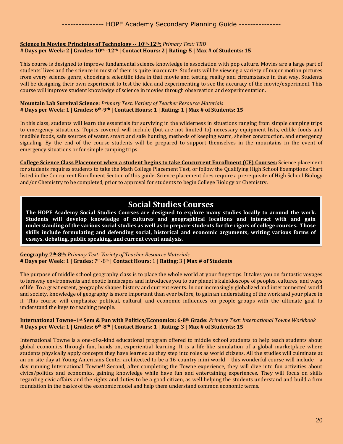#### **Science in Movies: Principles of Technology -- 10th-12th:** *Primary Text: TBD* **# Days per Week: 2 | Grades: 10th -12th | Contact Hours: 2 | Rating: 5 | Max # of Students: 15**

This course is designed to improve fundamental science knowledge in association with pop culture. Movies are a large part of students' lives and the science in most of them is quite inaccurate. Students will be viewing a variety of major motion pictures from every science genre, choosing a scientific idea in that movie and testing reality and circumstance in that way. Students will be designing their own experiment to test the idea and experimenting to see the accuracy of the movie/experiment. This course will improve student knowledge of science in movies through observation and experimentation.

#### **Mountain Lab Survival Science:** *Primary Text: Variety of Teacher Resource Materials* **# Days per Week: 1 | Grades: 6th-9th | Contact Hours: 1 | Rating: 1 | Max # of Students: 15**

In this class, students will learn the essentials for surviving in the wilderness in situations ranging from simple camping trips to emergency situations. Topics covered will include (but are not limited to) necessary equipment lists, edible foods and inedible foods, safe sources of water, smart and safe hunting, methods of keeping warm, shelter construction, and emergency signaling. By the end of the course students will be prepared to support themselves in the mountains in the event of emergency situations or for simple camping trips.

**College Science Class Placement when a student begins to take Concurrent Enrollment (CE) Courses:** Science placement for students requires students to take the Math College Placement Test, or follow the Qualifying High School Exemptions Chart listed in the Concurrent Enrollment Section of this guide. Science placement does require a prerequisite of High School Biology and/or Chemistry to be completed, prior to approval for students to begin College Biology or Chemistry.

### **Social Studies Courses**

**The HOPE Academy Social Studies Courses are designed to explore many studies locally to around the work. Students will develop knowledge of cultures and geographical locations and interact with and gain understanding of the various social studies as well as to prepare students for the rigors of college courses. Those skills include formulating and defending social, historical and economic arguments, writing various forms of essays, debating, public speaking, and current event analysis.**

#### **Geography 7th-8th:** *Primary Text: Variety of Teacher Resource Materials* **# Days per Week:** 1 **| Grades:** 7th-8th | **Contact Hours:** 1 **| Rating:** 3 **| Max # of Students**

The purpose of middle school geography class is to place the whole world at your fingertips. It takes you on fantastic voyages to faraway environments and exotic landscapes and introduces you to our planet's kaleidoscope of peoples, cultures, and ways of life. To a great extent, geography shapes history and current events. In our increasingly globalized and interconnected world and society, knowledge of geography is more important than ever before, to gain an understating of the work and your place in it. This course will emphasize political, cultural, and economic influences on people groups with the ultimate goal to understand the keys to reaching people.

#### **International Towne–1st Sem & Fun with Politics/Economics: 6-8th Grade:** *Primary Text: International Towne Workbook* **# Days per Week: 1 | Grades: 6th-8th | Contact Hours: 1 | Rating: 3 | Max # of Students: 15**

International Towne is a one-of-a-kind educational program offered to middle school students to help teach students about global economics through fun, hands-on, experiential learning. It is a life-like simulation of a global marketplace where students physically apply concepts they have learned as they step into roles as world citizens. All the studies will culminate at an on-site day at Young Americans Center architected to be a 16-country mini-world – this wonderful course will include – a day running International Towne!! Second, after completing the Towne experience, they will dive into fun activities about civics/politics and economics, gaining knowledge while have fun and entertaining experiences. They will focus on skills regarding civic affairs and the rights and duties to be a good citizen, as well helping the students understand and build a firm foundation in the basics of the economic model and help them understand common economic terms.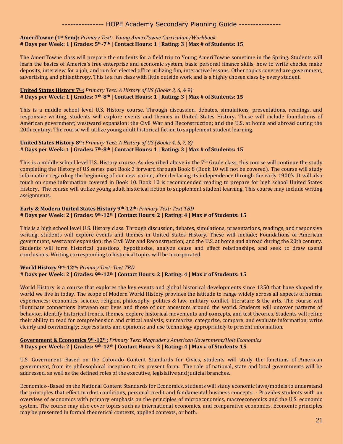#### **AmeriTowne (1st Sem):** *Primary Text: Young AmeriTowne Curriculum/Workbook* **# Days per Week: 1 | Grades: 5th-7th | Contact Hours: 1 | Rating: 3 | Max # of Students: 15**

The AmeriTowne class will prepare the students for a field trip to Young AmeriTowne sometime in the Spring. Students will learn the basics of America's free enterprise and economic system, basic personal finance skills, how to write checks, make deposits, interview for a job, and run for elected office utilizing fun, interactive lessons. Other topics covered are government, advertising, and philanthropy. This is a fun class with little outside work and is a highly chosen class by every student.

#### **United States History 7th:** *Primary Text: A History of US (Books 3, 6, & 9)* **# Days per Week: 1 | Grades: 7th-8th | Contact Hours: 1 | Rating: 3 | Max # of Students: 15**

This is a middle school level U.S. History course. Through discussion, debates, simulations, presentations, readings, and responsive writing, students will explore events and themes in United States History. These will include foundations of American government; westward expansion; the Civil War and Reconstruction; and the U.S. at home and abroad during the 20th century. The course will utilize young adult historical fiction to supplement student learning.

#### **United States History 8th:** *Primary Text: A History of US (Books 4, 5, 7, 8)* **# Days per Week: 1 | Grades: 7th-8th | Contact Hours: 1 | Rating: 3 | Max # of Students: 15**

This is a middle school level U.S. History course. As described above in the 7<sup>th</sup> Grade class, this course will continue the study completing the History of US series past Book 3 forward through Book 8 (Book 10 will not be covered). The course will study information regarding the beginning of our new nation, after declaring its independence through the early 1900's. It will also touch on some information covered in Book 10. Book 10 is recommended reading to prepare for high school United States History. The course will utilize young adult historical fiction to supplement student learning. This course may include writing assignments.

#### **Early & Modern United States History 9th-12th:** *Primary Text: Text TBD* **# Days per Week: 2 | Grades: 9th-12th | Contact Hours: 2 | Rating: 4 | Max # of Students: 15**

This is a high school level U.S. History class. Through discussion, debates, simulations, presentations, readings, and responsive writing, students will explore events and themes in United States History. These will include; Foundations of American government; westward expansion; the Civil War and Reconstruction; and the U.S. at home and abroad during the 20th century. Students will form historical questions, hypothesize, analyze cause and effect relationships, and seek to draw useful conclusions. Writing corresponding to historical topics will be incorporated.

#### **World History 9th-12th:** *Primary Text: Text TBD* **# Days per Week: 2 | Grades: 9th-12th | Contact Hours: 2 | Rating: 4 | Max # of Students: 15**

World History is a course that explores the key events and global historical developments since 1350 that have shaped the world we live in today. The scope of Modern World History provides the latitude to range widely across all aspects of human experiences; economics, science, religion, philosophy, politics & law, military conflict, literature & the arts. The course will illuminate connections between our lives and those of our ancestors around the world. Students will uncover patterns of behavior, identify historical trends, themes, explore historical movements and concepts, and test theories. Students will refine their ability to read for comprehension and critical analysis; summarize, categorize, compare, and evaluate information; write clearly and convincingly; express facts and opinions; and use technology appropriately to present information.

#### **Government & Economics 9th-12th:** *Primary Text: Magruder's American Government/Holt Economics* **# Days per Week: 2 | Grades: 9th-12th | Contact Hours: 2 | Rating: 4 | Max # of Students: 15**

U.S. Government--Based on the Colorado Content Standards for Civics, students will study the functions of American government, from its philosophical inception to its present form. The role of national, state and local governments will be addressed, as well as the defined roles of the executive, legislative and judicial branches.

Economics--Based on the National Content Standards for Economics, students will study economic laws/models to understand the principles that effect market conditions, personal credit and fundamental business concepts. - Provides students with an overview of economics with primary emphasis on the principles of microeconomics, macroeconomics and the U.S. economic system. The course may also cover topics such as international economics, and comparative economics. Economic principles may be presented in formal theoretical contexts, applied contexts, or both.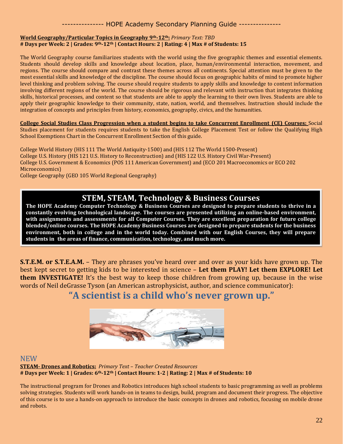#### **World Geography/Particular Topics in Geography 9th-12th:** *Primary Text: TBD* **# Days per Week: 2 | Grades: 9th-12th | Contact Hours: 2 | Rating: 4 | Max # of Students: 15**

The World Geography course familiarizes students with the world using the five geographic themes and essential elements. Students should develop skills and knowledge about location, place, human/environmental interaction, movement, and regions. The course should compare and contrast these themes across all continents. Special attention must be given to the most essential skills and knowledge of the discipline. The course should focus on geographic habits of mind to promote higher level thinking and problem solving. The course should require students to apply skills and knowledge to content information involving different regions of the world. The course should be rigorous and relevant with instruction that integrates thinking skills, historical processes, and content so that students are able to apply the learning to their own lives. Students are able to apply their geographic knowledge to their community, state, nation, world, and themselves. Instruction should include the integration of concepts and principles from history, economics, geography, civics, and the humanities.

**College Social Studies Class Progression when a student begins to take Concurrent Enrollment (CE) Courses:** Social Studies placement for students requires students to take the English College Placement Test or follow the Qualifying High School Exemptions Chart in the Concurrent Enrollment Section of this guide.

College World History (HIS 111 The World Antiquity-1500) and (HIS 112 The World 1500-Present) College U.S. History (HIS 121 U.S. History to Reconstruction) and (HIS 122 U.S. History Civil War-Present) College U.S. Government & Economics (POS 111 American Government) and (ECO 201 Macroeconomics or ECO 202 Microeconomics)

College Geography (GEO 105 World Regional Geography)

### **STEM, STEAM, Technology & Business Courses**

**The HOPE Academy Computer Technology & Business Courses are designed to prepare students to thrive in a constantly evolving technological landscape. The courses are presented utilizing an online-based environment, with assignments and assessments for all Computer Courses. They are excellent preparation for future college blended/online courses. The HOPE Academy Business Courses are designed to prepare students for the business environment, both in college and in the world today. Combined with our English Courses, they will prepare students in the areas of finance, communication, technology, and much more.**

**S.T.E.M. or S.T.E.A.M.** – They are phrases you've heard over and over as your kids have grown up. The best kept secret to getting kids to be interested in science – **Let them PLAY! Let them EXPLORE! Let them INVESTIGATE!** It's the best way to keep those children from growing up, because in the wise words of Neil deGrasse Tyson (an American astrophysicist, author, and science communicator):

### **"A scientist is a child who's never grown up."**



#### **NEW**

**STEAM- Drones and Robotics:** *Primary Text – Teacher Created Resources* **# Days per Week: 1 | Grades: 6th-12th | Contact Hours: 1-2 | Rating: 2 | Max # of Students: 10**

The instructional program for Drones and Robotics introduces high school students to basic programming as well as problems solving strategies. Students will work hands-on in teams to design, build, program and document their progress. The objective of this course is to use a hands-on approach to introduce the basic concepts in drones and robotics, focusing on mobile drone and robots.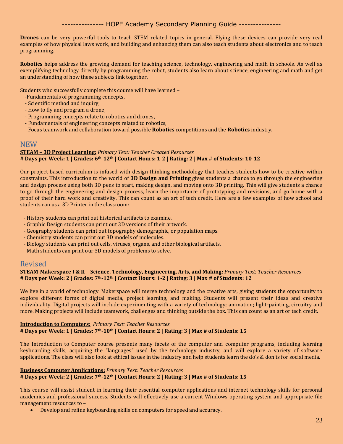**Drones** can be very powerful tools to teach STEM related topics in general. Flying these devices can provide very real examples of how physical laws work, and building and enhancing them can also teach students about electronics and to teach programming.

**Robotics** helps address the growing demand for teaching science, technology, engineering and math in schools. As well as exemplifying technology directly by programming the robot, students also learn about science, engineering and math and get an understanding of how these subjects link together.

Students who successfully complete this course will have learned –

- -Fundamentals of programming concepts,
- Scientific method and inquiry,
- How to fly and program a drone,
- Programming concepts relate to robotics and drones,
- Fundamentals of engineering concepts related to robotics,
- Focus teamwork and collaboration toward possible **Robotics** competitions and the **Robotics** industry.

#### **NEW**

#### **STEAM – 3D Project Learning:** *Primary Text: Teacher Created Resources* **# Days per Week: 1 | Grades: 6th-12th | Contact Hours: 1-2 | Rating: 2 | Max # of Students: 10-12**

Our project-based curriculum is infused with design thinking methodology that teaches students how to be creative within constraints. This introduction to the world of **3D Design and Printing** gives students a chance to go through the engineering and design process using both 3D pens to start, making design, and moving onto 3D printing. This will give students a chance to go through the engineering and design process, learn the importance of prototyping and revisions, and go home with a proof of their hard work and creativity. This can count as an art of tech credit. Here are a few examples of how school and students can us a 3D Printer in the classroom:

- History students can print out historical artifacts to examine.
- Graphic Design students can print out 3D versions of their artwork.
- Geography students can print out topography demographic, or population maps.
- Chemistry students can print out 3D models of molecules.
- Biology students can print out cells, viruses, organs, and other biological artifacts.
- Math students can print our 3D models of problems to solve.

#### Revised

#### **STEAM-Makerspace I & II – Science, Technology, Engineering, Arts, and Making:** *Primary Text: Teacher Resources* **# Days per Week: 2 | Grades: 7th-12th | Contact Hours: 1-2 | Rating: 3 | Max # of Students: 12**

We live in a world of technology. Makerspace will merge technology and the creative arts, giving students the opportunity to explore different forms of digital media, project learning, and making. Students will present their ideas and creative individuality. Digital projects will include experimenting with a variety of technology; animation; light-painting, circuitry and more. Making projects will include teamwork, challenges and thinking outside the box. This can count as an art or tech credit.

#### **Introduction to Computers:** *Primary Text: Teacher Resources* **# Days per Week: 1 | Grades: 7th-10th | Contact Hours: 2 | Rating: 3 | Max # of Students: 15**

The Introduction to Computer course presents many facets of the computer and computer programs, including learning keyboarding skills, acquiring the "languages" used by the technology industry, and will explore a variety of software applications. The class will also look at ethical issues in the industry and help students learn the do's & don'ts for social media.

#### **Business Computer Applications:** *Primary Text: Teacher Resources*

### **# Days per Week: 2 | Grades: 7th-12th | Contact Hours: 2 | Rating: 3 | Max # of Students: 15**

This course will assist student in learning their essential computer applications and internet technology skills for personal academics and professional success. Students will effectively use a current Windows operating system and appropriate file management resources to –

• Develop and refine keyboarding skills on computers for speed and accuracy.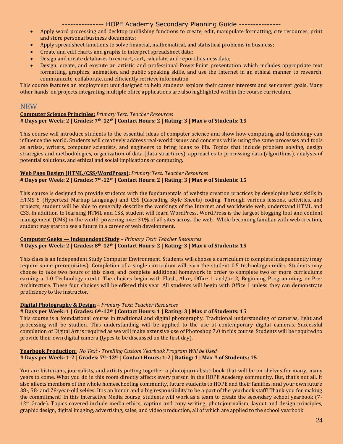- Apply word processing and desktop publishing functions to create, edit, manipulate formatting, cite resources, print and store personal business documents;
- Apply spreadsheet functions to solve financial, mathematical, and statistical problems in business;
- Create and edit charts and graphs to interpret spreadsheet data;
- Design and create databases to extract, sort, calculate, and report business data;
- Design, create, and execute an artistic and professional PowerPoint presentation which includes appropriate text formatting, graphics, animation, and public speaking skills, and use the Internet in an ethical manner to research, communicate, collaborate, and efficiently retrieve information.

This course features an employment unit designed to help students explore their career interests and set career goals. Many other hands-on projects integrating multiple office applications are also highlighted within the course curriculum.

#### **NEW**

#### **Computer Science Principles:** *Primary Text: Teacher Resources* **# Days per Week: 2 | Grades: 7th-12th | Contact Hours: 2 | Rating: 3 | Max # of Students: 15**

This course will introduce students to the essential ideas of computer science and show how computing and technology can influence the world. Students will creatively address real-world issues and concerns while using the same processes and tools as artists, writers, computer scientists, and engineers to bring ideas to life. Topics that include problem solving, design strategies and methodologies, organization of data (data structures), approaches to processing data (algorithms), analysis of potential solutions, and ethical and social implications of computing.

#### **Web Page Design (HTML/CSS/WordPress)**: *Primary Text: Teacher Resources* **# Days per Week: 2 | Grades: 7th-12th | Contact Hours: 2 | Rating: 3 | Max # of Students: 15**

This course is designed to provide students with the fundamentals of website creation practices by developing basic skills in HTMS 5 (Hypertext Markup Language) and CSS (Cascading Style Sheets) coding. Through various lessons, activities, and projects, student will be able to generally describe the workings of the Internet and worldwide web, understand HTML and CSS. In addition to learning HTML and CSS, student will learn WordPress. WordPress is the largest blogging tool and content management (CMS) in the world, powering over 31% of all sites across the web. While becoming familiar with web creation, student may start to see a future in a career of web development.

#### **Computer Geeks — Independent Study** *– Primary Text: Teacher Resources* **# Days per Week: 2 | Grades: 8th-12th | Contact Hours: 2 | Rating: 3 | Max # of Students: 15**

This class is an Independent Study Computer Environment. Students will choose a curriculum to complete independently (may require some prerequisites). Completion of a single curriculum will earn the student 0.5 technology credits. Students may choose to take two hours of this class, and complete additional homework in order to complete two or more curriculums earning a 1.0 Technology credit. The choices begin with Flash, Alice, Office 1 and/or 2, Beginning Programming, or Pre-Architecture. These four choices will be offered this year. All students will begin with Office 1 unless they can demonstrate proficiency to the instructor.

#### **Digital Photography & Design** – *Primary Text: Teacher Resources*

#### **# Days per Week: 1 | Grades: 6th-12th | Contact Hours: 1 | Rating: 3 | Max # of Students: 15**

This course is a foundational course in traditional and digital photography. Traditional understanding of cameras, light and processing will be studied. This understanding will be applied to the use of contemporary digital cameras. Successful completion of Digital Art is required as we will make extensive use of Photoshop 7.0 in this course. Students will be required to provide their own digital camera (types to be discussed on the first day).

#### **Yearbook Production:** *No Text - TreeRing Custom Yearbook Program Will be Used* **# Days per Week: 1-2 | Grades: 7th-12th | Contact Hours: 1-2 | Rating: 1 | Max # of Students: 15**

You are historians, journalists, and artists putting together a photojournalistic book that will be on shelves for many, many years to come. What you do in this room directly affects every person in the HOPE Academy community. But, that's not all. It also affects members of the whole homeschooling community, future students to HOPE and their families, and your own future 38-, 58- and 78-year-old selves. It is an honor and a big responsibility to be a part of the yearbook staff! Thank you for making the commitment! In this Interactive Media course, students will work as a team to create the secondary school yearbook (7-  $12<sup>th</sup>$  Grade). Topics covered include media ethics, caption and copy writing, photojournalism, layout and design principles, graphic design, digital imaging, advertising, sales, and video production, all of which are applied to the school yearbook.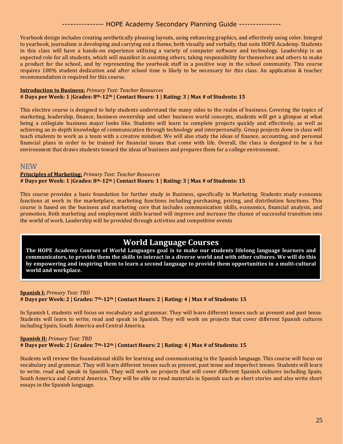Yearbook design includes creating aesthetically pleasing layouts, using enhancing graphics, and effectively using color. Integral to yearbook, journalism is developing and carrying out a theme, both visually and verbally, that suits HOPE Academy. Students in this class will have a hands-on experience utilizing a variety of computer software and technology. Leadership is an expected role for all students, which will manifest in assisting others, taking responsibility for themselves and others to make a product for the school, and by representing the yearbook staff in a positive way in the school community. This course requires 100% student dedication and after school time is likely to be necessary for this class. An application & teacher recommendation is required for this course.

#### **Introduction to Business:** *Primary Text: Teacher Resources* **# Days per Week: 1 |Grades: 8th-12th | Contact Hours: 1 | Rating: 3 | Max # of Students: 15**

This elective course is designed to help students understand the many sides to the realm of business. Covering the topics of marketing, leadership, finance, business ownership and other business world concepts, students will get a glimpse at what being a collegiate business major looks like. Students will learn to complete projects quickly and effectively, as well as achieving an in-depth knowledge of communication through technology and interpersonally. Group projects done in class will teach students to work as a team with a creative mindset. We will also study the ideas of finance, accounting, and personal financial plans in order to be trained for financial issues that come with life. Overall, the class is designed to be a fun environment that draws students toward the ideas of business and prepares them for a college environment.

#### **NEW**

#### **Principles of Marketing:** *Primary Text: Teacher Resources* **# Days per Week: 1 |Grades: 8th-12th | Contact Hours: 1 | Rating: 3 | Max # of Students: 15**

This course provides a basic foundation for further study in Business, specifically in Marketing. Students study economic functions at work in the marketplace, marketing functions including purchasing, pricing, and distribution functions. This course is based on the business and marketing core that includes communication skills, economics, financial analysis, and promotion. Both marketing and employment skills learned will improve and increase the chance of successful transition into the world of work. Leadership will be provided through activities and competitive events

### **World Language Courses**

**The HOPE Academy Courses of World Languages goal is to make our students lifelong language learners and communicators, to provide them the skills to interact in a diverse world and with other cultures. We will do this by empowering and inspiring them to learn a second language to provide them opportunities in a multi-cultural world and workplace.** 

#### **Spanish I:** *Primary Text: TBD* **# Days per Week: 2 | Grades: 7th-12th | Contact Hours: 2 | Rating: 4 | Max # of Students: 15**

In Spanish I, students will focus on vocabulary and grammar. They will learn different tenses such as present and past tense. Students will learn to write, read and speak in Spanish. They will work on projects that cover different Spanish cultures including Spain, South America and Central America.

#### **Spanish II:** *Primary Text: TBD* **# Days per Week: 2 | Grades: 7th-12th | Contact Hours: 2 | Rating: 4 | Max # of Students: 15**

Students will review the foundational skills for learning and communicating in the Spanish language. This course will focus on vocabulary and grammar. They will learn different tenses such as present, past tense and imperfect tenses. Students will learn to write, read and speak in Spanish. They will work on projects that will cover different Spanish cultures including Spain, South America and Central America. They will be able to read materials in Spanish such as short stories and also write short essays in the Spanish language.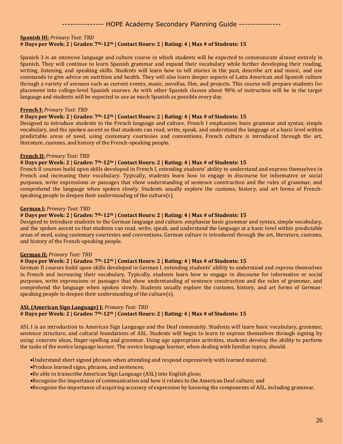#### **Spanish III:** *Primary Text: TBD* **# Days per Week: 2 | Grades: 7th-12th | Contact Hours: 2 | Rating: 4 | Max # of Students: 15**

Spanish 3 is an intensive language and culture course in which students will be expected to communicate almost entirely in Spanish. They will continue to learn Spanish grammar and expand their vocabulary while further developing their reading, writing, listening, and speaking skills. Students will learn how to tell stories in the past, describe art and music, and use commands to give advice on nutrition and health. They will also learn deeper aspects of Latin American and Spanish culture through a variety of avenues such as current events, music, novellas, film, and projects. This course will prepare students for placement into college-level Spanish courses. As with other Spanish classes about 90% of instruction will be in the target language and students will be expected to use as much Spanish as possible every day.

#### **French I:** *Primary Text: TBD*

#### **# Days per Week: 2 | Grades: 7th-12th | Contact Hours: 2 | Rating: 4 | Max # of Students: 15**

Designed to introduce students to the French language and culture. French I emphasizes basic grammar and syntax, simple vocabulary, and the spoken ascent so that students can read, write, speak, and understand the language at a basic level within predictable areas of need, using customary courtesies and conventions. French culture is introduced through the art, literature, customs, and history of the French-speaking people.

#### **French II:** *Primary Text: TBD*

#### **# Days per Week: 2 | Grades: 7th-12th | Contact Hours: 2 | Rating: 4 | Max # of Students: 15**

French II courses build upon skills developed in French I, extending students' ability to understand and express themselves in French and increasing their vocabulary. Typically, students learn how to engage in discourse for informative or social purposes, write expressions or passages that show understanding of sentence construction and the rules of grammar, and comprehend the language when spoken slowly. Students usually explore the customs, history, and art forms of Frenchspeaking people to deepen their understanding of the culture(s).

#### **German I:** *Primary Text: TBD*

#### **# Days per Week: 2 | Grades: 7th-12th | Contact Hours: 2 | Rating: 4 | Max # of Students: 15**

Designed to introduce students to the German language and culture. emphasize basic grammar and syntax, simple vocabulary, and the spoken ascent so that students can read, write, speak, and understand the language at a basic level within predictable areas of need, using customary courtesies and conventions. German culture is introduced through the art, literature, customs, and history of the French-speaking people.

#### **German II:** *Primary Text: TBD*

#### **# Days per Week: 2 | Grades: 7th-12th | Contact Hours: 2 | Rating: 4 | Max # of Students: 15**

German II courses build upon skills developed in German I, extending students' ability to understand and express themselves in French and increasing their vocabulary. Typically, students learn how to engage in discourse for informative or social purposes, write expressions or passages that show understanding of sentence construction and the rules of grammar, and comprehend the language when spoken slowly. Students usually explore the customs, history, and art forms of Germanspeaking people to deepen their understanding of the culture(s).

#### **ASL (American Sign Language) I:** *Primary Text: TBD*

### **# Days per Week: 2 | Grades: 7th-12th | Contact Hours: 2 | Rating: 4 | Max # of Students: 15**

ASL I is an introduction to American Sign Language and the Deaf community. Students will learn basic vocabulary, grammar, sentence structure, and cultural foundations of ASL. Students will begin to learn to express themselves through signing by using: concrete ideas, finger-spelling and grammar. Using age appropriate activities, students develop the ability to perform the tasks of the novice language learner. The novice language learner, when dealing with familiar topics, should:

- •Understand short signed phrases when attending and respond expressively with learned material;
- •Produce learned signs, phrases, and sentences;
- •Be able to transcribe American Sign Language (ASL) into English gloss;
- •Recognize the importance of communication and how it relates to the American Deaf culture; and
- •Recognize the importance of acquiring accuracy of expression by knowing the components of ASL, including grammar.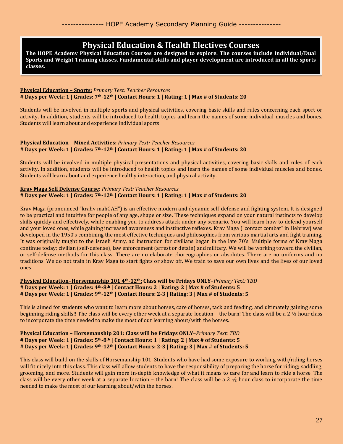### **Physical Education & Health Electives Courses**

**The HOPE Academy Physical Education Courses are designed to explore. The courses include Individual/Dual Sports and Weight Training classes. Fundamental skills and player development are introduced in all the sports classes.**

#### **Physical Education – Sports:** *Primary Text: Teacher Resources* **# Days per Week: 1 | Grades: 7th-12th | Contact Hours: 1 | Rating: 1 | Max # of Students: 20**

Students will be involved in multiple sports and physical activities, covering basic skills and rules concerning each sport or activity. In addition, students will be introduced to health topics and learn the names of some individual muscles and bones. Students will learn about and experience individual sports.

#### **Physical Education – Mixed Activities:** *Primary Text: Teacher Resources* **# Days per Week: 1 | Grades: 7th-12th | Contact Hours: 1 | Rating: 1 | Max # of Students: 20**

Students will be involved in multiple physical presentations and physical activities, covering basic skills and rules of each activity. In addition, students will be introduced to health topics and learn the names of some individual muscles and bones. Students will learn about and experience healthy interaction, and physical activity.

#### **Krav Maga Self Defense Course:** *Primary Text: Teacher Resources* **# Days per Week: 1 | Grades: 7th-12th | Contact Hours: 1 | Rating: 1 | Max # of Students: 20**

Krav Maga (pronounced "krahv mahGAH") is an effective modern and dynamic self-defense and fighting system. It is designed to be practical and intuitive for people of any age, shape or size. These techniques expand on your natural instincts to develop skills quickly and effectively, while enabling you to address attack under any scenario. You will learn how to defend yourself and your loved ones, while gaining increased awareness and instinctive reflexes. Krav Maga ("contact combat" in Hebrew) was developed in the 1950's combining the most effective techniques and philosophies from various martial arts and fight training. It was originally taught to the Israeli Army, ad instruction for civilians began in the late 70's. Multiple forms of Krav Maga continue today; civilian (self-defense), law enforcement (arrest or detain) and military. We will be working toward the civilian, or self-defense methods for this class. There are no elaborate choreographies or absolutes. There are no uniforms and no traditions. We do not train in Krav Maga to start fights or show off. We train to save our own lives and the lives of our loved ones.

#### **Physical Education–Horsemanship 101 4th-12th: Class will be Fridays ONLY**–*Primary Text: TBD* **# Days per Week: 1 | Grades: 4th-8th | Contact Hours: 2 | Rating: 2 | Max # of Students: 5 # Days per Week: 1 | Grades: 9th-12th | Contact Hours: 2-3 | Rating: 3 | Max # of Students: 5**

This is aimed for students who want to learn more about horses, care of horses, tack and feeding, and ultimately gaining some beginning riding skills!! The class will be every other week at a separate location – the barn! The class will be a 2 ½ hour class to incorporate the time needed to make the most of our learning about/with the horses.

#### **Physical Education – Horsemanship 201: Class will be Fridays ONLY**–*Primary Text: TBD* **# Days per Week: 1 | Grades: 5th-8th | Contact Hours: 1 | Rating: 2 | Max # of Students: 5 # Days per Week: 1 | Grades: 9th-12th | Contact Hours: 2-3 | Rating: 3 | Max # of Students: 5**

This class will build on the skills of Horsemanship 101. Students who have had some exposure to working with/riding horses will fit nicely into this class. This class will allow students to have the responsibility of preparing the horse for riding; saddling, grooming, and more. Students will gain more in-depth knowledge of what it means to care for and learn to ride a horse. The class will be every other week at a separate location – the barn! The class will be a  $2 \frac{1}{2}$  hour class to incorporate the time needed to make the most of our learning about/with the horses.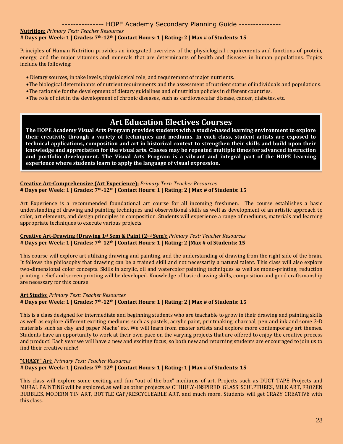#### **Nutrition:** *Primary Text: Teacher Resources*

#### **# Days per Week: 1 | Grades: 7th-12th | Contact Hours: 1 | Rating: 2 | Max # of Students: 15**

Principles of Human Nutrition provides an integrated overview of the physiological requirements and functions of protein, energy, and the major vitamins and minerals that are determinants of health and diseases in human populations. Topics include the following:

- Dietary sources, in take levels, physiological role, and requirement of major nutrients.
- •The biological determinants of nutrient requirements and the assessment of nutrient status of individuals and populations.
- •The rationale for the development of dietary guidelines and of nutrition policies in different countries.
- •The role of diet in the development of chronic diseases, such as cardiovascular disease, cancer, diabetes, etc.

### **Art Education Electives Courses**

**The HOPE Academy Visual Arts Program provides students with a studio-based learning environment to explore their creativity through a variety of techniques and mediums. In each class, student artists are exposed to technical applications, composition and art in historical context to strengthen their skills and build upon their knowledge and appreciation for the visual arts. Classes may be repeated multiple times for advanced instruction and portfolio development. The Visual Arts Program is a vibrant and integral part of the HOPE learning experience where students learn to apply the language of visual expression.**

#### **Creative Art-Comprehensive (Art Experience):** *Primary Text: Teacher Resources* **# Days per Week: 1 | Grades: 7th-12th | Contact Hours: 1 | Rating: 2 | Max # of Students: 15**

Art Experience is a recommended foundational art course for all incoming freshmen. The course establishes a basic understanding of drawing and painting techniques and observational skills as well as development of an artistic approach to color, art elements, and design principles in composition. Students will experience a range of mediums, materials and learning appropriate techniques to execute various projects.

#### **Creative Art-Drawing (Drawing 1st Sem & Paint (2nd Sem):** *Primary Text: Teacher Resources* **# Days per Week: 1 | Grades: 7th-12th | Contact Hours: 1 | Rating: 2 |Max # of Students: 15**

This course will explore art utilizing drawing and painting, and the understanding of drawing from the right side of the brain. It follows the philosophy that drawing can be a trained skill and not necessarily a natural talent. This class will also explore two-dimensional color concepts. Skills in acrylic, oil and watercolor painting techniques as well as mono-printing, reduction printing, relief and screen printing will be developed. Knowledge of basic drawing skills, composition and good craftsmanship are necessary for this course.

#### **Art Studio:** *Primary Text: Teacher Resources* **# Days per Week: 1 | Grades: 7th-12th | Contact Hours: 1 | Rating: 2 | Max # of Students: 15**

This is a class designed for intermediate and beginning students who are teachable to grow in their drawing and painting skills as well as explore different exciting mediums such as pastels, acrylic paint, printmaking, charcoal, pen and ink and some 3-D materials such as clay and paper Mache' etc. We will learn from master artists and explore more contemporary art themes. Students have an opportunity to work at their own pace on the varying projects that are offered to enjoy the creative process and product! Each year we will have a new and exciting focus, so both new and returning students are encouraged to join us to find their creative niche!

#### **"CRAZY" Art:** *Primary Text: Teacher Resources*

**# Days per Week: 1 | Grades: 7th-12th | Contact Hours: 1 | Rating: 1 | Max # of Students: 15**

This class will explore some exciting and fun "out-of-the-box" mediums of art. Projects such as DUCT TAPE Projects and MURAL PAINTING will be explored, as well as other projects as CHIHULY-INSPIRED 'GLASS' SCULPTURES, MILK ART, FROZEN BUBBLES, MODERN TIN ART, BOTTLE CAP/RESCYCLEABLE ART, and much more. Students will get CRAZY CREATIVE with this class.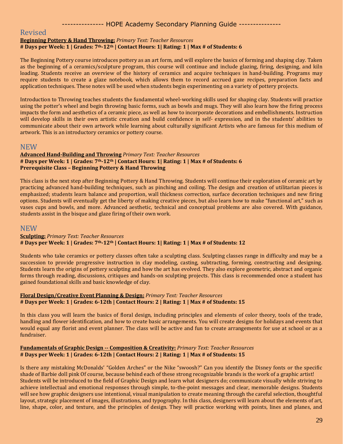#### Revised

#### **Beginning Pottery & Hand Throwing:** *Primary Text: Teacher Resources*

#### **# Days per Week: 1 | Grades: 7th-12th | Contact Hours: 1| Rating: 1 | Max # of Students: 6**

The Beginning Pottery course introduces pottery as an art form, and will explore the basics of forming and shaping clay. Taken as the beginning of a ceramics/sculpture program, this course will continue and include glazing, firing, designing, and kiln loading. Students receive an overview of the history of ceramics and acquire techniques in hand-building. Programs may require students to create a glaze notebook, which allows them to record accrued gaze recipes, preparation facts and application techniques. These notes will be used when students begin experimenting on a variety of pottery projects.

Introduction to Throwing teaches students the fundamental wheel-working skills used for shaping clay. Students will practice using the potter's wheel and begin throwing basic forms, such as bowls and mugs. They will also learn how the firing process impacts the form and aesthetics of a ceramic piece, as well as how to incorporate decorations and embellishments. Instruction will develop skills in their own artistic creation and build confidence in self- expression, and in the students' abilities to communicate about their own artwork while learning about culturally significant Artists who are famous for this medium of artwork. This is an introductory ceramics or pottery course.

#### NEW

#### **Advanced Hand-Building and Throwing** *Primary Text: Teacher Resources* **# Days per Week: 1 | Grades: 7th-12th | Contact Hours: 1| Rating: 1 | Max # of Students: 6 Prerequisite Class – Beginning Pottery & Hand Throwing**

This class is the next step after Beginning Pottery & Hand Throwing. Students will continue their exploration of ceramic art by practicing advanced hand-building techniques, such as pinching and coiling. The design and creation of utilitarian pieces is emphasized; students learn balance and proportion, wall thickness correction, surface decoration techniques and new firing options. Students will eventually get the liberty of making creative pieces, but also learn how to make "functional art," such as vases cups and bowls, and more. Advanced aesthetic, technical and conceptual problems are also covered. With guidance, students assist in the bisque and glaze firing of their own work.

#### **NEW**

#### **Sculpting:** *Primary Text: Teacher Resources* **# Days per Week: 1 | Grades: 7th-12th | Contact Hours: 1| Rating: 1 | Max # of Students: 12**

Students who take ceramics or pottery classes often take a sculpting class. Sculpting classes range in difficulty and may be a succession to provide progressive instruction in clay modeling, casting, subtracting, forming, constructing and designing. Students learn the origins of pottery sculpting and how the art has evolved. They also explore geometric, abstract and organic forms through reading, discussions, critiques and hands-on sculpting projects. This class is recommended once a student has gained foundational skills and basic knowledge of clay.

#### **Floral Design/Creative Event Planning & Design:** *Primary Text: Teacher Resources* **# Days per Week: 1 | Grades: 6-12th | Contact Hours: 2 | Rating: 1 | Max # of Students: 15**

In this class you will learn the basics of floral design, including principles and elements of color theory, tools of the trade, handling and flower identification, and how to create basic arrangements. You will create designs for holidays and events that would equal any florist and event planner. The class will be active and fun to create arrangements for use at school or as a fundraiser.

#### **Fundamentals of Graphic Design -- Composition & Creativity:** *Primary Text: Teacher Resources* **# Days per Week: 1 | Grades: 6-12th | Contact Hours: 2 | Rating: 1 | Max # of Students: 15**

Is there any mistaking McDonalds' "Golden Arches" or the Nike "swoosh?" Can you identify the Disney fonts or the specific shade of Barbie doll pink Of course, because behind each of these strong recognizable brands is the work of a graphic artist! Students will be introduced to the field of Graphic Design and learn what designers do; communicate visually while striving to achieve intellectual and emotional responses through simple, to-the-point messages and clear, memorable designs. Students will see how graphic designers use intentional, visual manipulation to create meaning through the careful selection, thoughtful layout, strategic placement of images, illustrations, and typography. In this class, designers will learn about the elements of art, line, shape, color, and texture, and the principles of design. They will practice working with points, lines and planes, and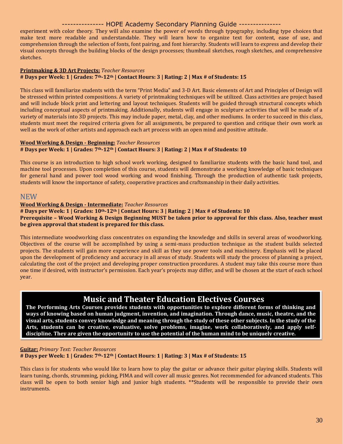experiment with color theory. They will also examine the power of words through typography, including type choices that make text more readable and understandable. They will learn how to organize text for content, ease of use, and comprehension through the selection of fonts, font pairing, and font hierarchy. Students will learn to express and develop their visual concepts through the building blocks of the design processes; thumbnail sketches, rough sketches, and comprehensive sketches.

#### **Printmaking & 3D Art Projects:** *Teacher Resources*

#### **# Days per Week: 1 | Grades: 7th-12th | Contact Hours: 3 | Rating: 2 | Max # of Students: 15**

This class will familiarize students with the term "Print Media" and 3-D Art. Basic elements of Art and Principles of Design will be stressed within printed compositions. A variety of printmaking techniques will be utilized. Class activities are project based and will include block print and lettering and layout techniques. Students will be guided through structural concepts which including conceptual aspects of printmaking. Additionally, students will engage in sculpture activities that will be made of a variety of materials into 3D projects. This may include paper, metal, clay, and other mediums. In order to succeed in this class, students must meet the required criteria given for all assignments, be prepared to question and critique their own work as well as the work of other artists and approach each art process with an open mind and positive attitude.

#### **Wood Working & Design - Beginning:** *Teacher Resources*

#### **# Days per Week: 1 | Grades: 7th-12th | Contact Hours: 3 | Rating: 2 | Max # of Students: 10**

This course is an introduction to high school work working, designed to familiarize students with the basic hand tool, and machine tool processes. Upon completion of this course, students will demonstrate a working knowledge of basic techniques for general hand and power tool wood working and wood finishing. Through the production of authentic task projects, students will know the importance of safety, cooperative practices and craftsmanship in their daily activities.

#### **NEW**

#### **Wood Working & Design - Intermediate:** *Teacher Resources*

**# Days per Week: 1 | Grades: 10th-12th | Contact Hours: 3 | Rating: 2 | Max # of Students: 10 Prerequisite – Wood Working & Design Beginning MUST be taken prior to approval for this class. Also, teacher must be given approval that student is prepared for this class.**

This intermediate woodworking class concentrates on expanding the knowledge and skills in several areas of woodworking. Objectives of the course will be accomplished by using a semi-mass production technique as the student builds selected projects. The students will gain more experience and skill as they use power tools and machinery. Emphasis will be placed upon the development of proficiency and accuracy in all areas of study. Students will study the process of planning a project, calculating the cost of the project and developing proper construction procedures. A student may take this course more than one time if desired, with instructor's permission. Each year's projects may differ, and will be chosen at the start of each school year.

### **Music and Theater Education Electives Courses**

**The Performing Arts Courses provides students with opportunities to explore different forms of thinking and ways of knowing based on human judgment, invention, and imagination. Through dance, music, theatre, and the visual arts, students convey knowledge and meaning through the study of these other subjects. In the study of the Arts, students can be creative, evaluative, solve problems, imagine, work collaboratively, and apply selfdiscipline. They are given the opportunity to use the potential of the human mind to be uniquely creative.** 

#### **Guitar:** *Primary Text: Teacher Resources*

#### **# Days per Week: 1 | Grades: 7th-12th | Contact Hours: 1 | Rating: 3 | Max # of Students: 15**

This class is for students who would like to learn how to play the guitar or advance their guitar playing skills. Students will learn tuning, chords, strumming, picking, PIMA and will cover all music genres. Not recommended for advanced students. This class will be open to both senior high and junior high students. \*\*Students will be responsible to provide their own instruments.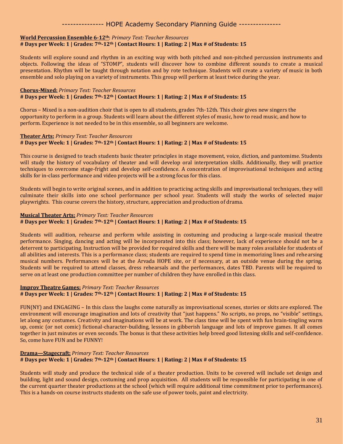#### **World Percussion Ensemble 6-12th**: *Primary Text: Teacher Resources*

#### **# Days per Week: 1 | Grades: 7th-12th | Contact Hours: 1 | Rating: 2 | Max # of Students: 15**

Students will explore sound and rhythm in an exciting way with both pitched and non-pitched percussion instruments and objects. Following the ideas of "STOMP", students will discover how to combine different sounds to create a musical presentation. Rhythm will be taught through notation and by rote technique. Students will create a variety of music in both ensemble and solo playing on a variety of instruments. This group will perform at least twice during the year.

#### **Chorus-Mixed:** *Primary Text: Teacher Resources* **# Days per Week: 1 | Grades: 7th-12th | Contact Hours: 1 | Rating: 2 | Max # of Students: 15**

Chorus – Mixed is a non-audition choir that is open to all students, grades 7th-12th. This choir gives new singers the opportunity to perform in a group. Students will learn about the different styles of music, how to read music, and how to perform. Experience is not needed to be in this ensemble, so all beginners are welcome.

#### **Theater Arts:** *Primary Text: Teacher Resources* **# Days per Week: 1 | Grades: 7th-12th | Contact Hours: 1 | Rating: 2 | Max # of Students: 15**

This course is designed to teach students basic theater principles in stage movement, voice, diction, and pantomime. Students will study the history of vocabulary of theater and will develop oral interpretation skills. Additionally, they will practice techniques to overcome stage-fright and develop self-confidence. A concentration of improvisational techniques and acting skills for in-class performance and video projects will be a strong focus for this class.

Students will begin to write original scenes, and in addition to practicing acting skills and improvisational techniques, they will culminate their skills into one school performance per school year. Students will study the works of selected major playwrights. This course covers the history, structure, appreciation and production of drama.

#### **Musical Theater Arts:** *Primary Text: Teacher Resources*

#### **# Days per Week: 1 | Grades: 7th-12th | Contact Hours: 1 | Rating: 2 | Max # of Students: 15**

Students will audition, rehearse and perform while assisting in costuming and producing a large-scale musical theatre performance. Singing, dancing and acting will be incorporated into this class; however, lack of experience should not be a deterrent to participating. Instruction will be provided for required skills and there will be many roles available for students of all abilities and interests. This is a performance class; students are required to spend time in memorizing lines and rehearsing musical numbers. Performances will be at the Arvada HOPE site, or if necessary, at an outside venue during the spring. Students will be required to attend classes, dress rehearsals and the performances, dates TBD. Parents will be required to serve on at least one production committee per number of children they have enrolled in this class.

#### **Improv Theatre Games:** *Primary Text: Teacher Resources*

#### **# Days per Week: 1 | Grades: 7th-12th | Contact Hours: 1 | Rating: 2 | Max # of Students: 15**

FUN(NY) and ENGAGING – In this class the laughs come naturally as improvisational scenes, stories or skits are explored. The environment will encourage imagination and lots of creativity that "just happens." No scripts, no props, no "visible" settings, let along any costumes. Creativity and imaginations will be at work. The class time will be spent with fun brain-tingling warm up, comic (or not comic) fictional-character-building, lessons in gibberish language and lots of improve games. It all comes together in just minutes or even seconds. The bonus is that these activities help breed good listening skills and self-confidence. So, come have FUN and be FUNNY!

#### **Drama—Stagecraft:** *Primary Text: Teacher Resources* **# Days per Week: 1 | Grades: 7th-12th | Contact Hours: 1 | Rating: 2 | Max # of Students: 15**

Students will study and produce the technical side of a theater production. Units to be covered will include set design and building, light and sound design, costuming and prop acquisition. All students will be responsible for participating in one of the current quarter theater productions at the school (which will require additional time commitment prior to performances). This is a hands-on course instructs students on the safe use of power tools, paint and electricity.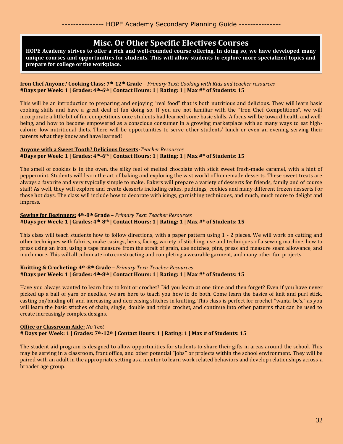### **Misc. Or Other Specific Electives Courses**

**HOPE Academy strives to offer a rich and well-rounded course offering. In doing so, we have developed many unique courses and opportunities for students. This will allow students to explore more specialized topics and prepare for college or the workplace.**

#### **Iron Chef Anyone? Cooking Class: 7th-12th Grade –** *Primary Text: Cooking with Kids and teacher resources* **#Days per Week: 1 | Grades: 4th-6th | Contact Hours: 1 | Rating: 1 | Max #\* of Students: 15**

This will be an introduction to preparing and enjoying "real food" that is both nutritious and delicious. They will learn basic cooking skills and have a great deal of fun doing so. If you are not familiar with the "Iron Chef Competitions", we will incorporate a little bit of fun competitions once students had learned some basic skills. A focus will be toward health and wellbeing, and how to become empowered as a conscious consumer in a growing marketplace with so many ways to eat highcalorie, low-nutritional diets. There will be opportunities to serve other students' lunch or even an evening serving their parents what they know and have learned!

#### **Anyone with a Sweet Tooth? Delicious Deserts-***Teacher Resources* **#Days per Week: 1 | Grades: 4th-6th | Contact Hours: 1 | Rating: 1 | Max #\* of Students: 15**

The smell of cookies is in the oven, the silky feel of melted chocolate with stick sweet fresh-made caramel, with a hint of peppermint. Students will learn the art of baking and exploring the vast world of homemade desserts. These sweet treats are always a favorite and very typically simple to make. Bakers will prepare a variety of desserts for friends, family and of course staff! As well, they will explore and create desserts including cakes, puddings, cookies and many different frozen desserts for those hot days. The class will include how to decorate with icings, garnishing techniques, and much, much more to delight and impress.

#### **Sewing for Beginners: 4th-8th Grade –** *Primary Text: Teacher Resources* **#Days per Week: 1 | Grades: 4th-8th | Contact Hours: 1 | Rating: 1 | Max #\* of Students: 15**

This class will teach students how to follow directions, with a paper pattern using 1 - 2 pieces. We will work on cutting and other techniques with fabrics, make casings, hems, facing, variety of stitching, use and techniques of a sewing machine, how to press using an iron, using a tape measure from the strait of grain, use notches, pins, press and measure seam allowance, and much more. This will all culminate into constructing and completing a wearable garment, and many other fun projects.

#### **Knitting & Crocheting: 4th-8th Grade –** *Primary Text: Teacher Resources* **#Days per Week: 1 | Grades: 4th-8th | Contact Hours: 1 | Rating: 1 | Max #\* of Students: 15**

Have you always wanted to learn how to knit or crochet? Did you learn at one time and then forget? Even if you have never picked up a ball of yarn or needles, we are here to teach you how to do both. Come learn the basics of knit and purl stick, casting on/binding off, and increasing and decreasing stitches in knitting. This class is perfect for crochet "wanta-be's," as you will learn the basic stitches of chain, single, double and triple crochet, and continue into other patterns that can be used to create increasingly complex designs.

#### **Office or Classroom Aide:** *No Text* **# Days per Week: 1 | Grades: 7th-12th | Contact Hours: 1 | Rating: 1 | Max # of Students: 15**

The student aid program is designed to allow opportunities for students to share their gifts in areas around the school. This may be serving in a classroom, front office, and other potential "jobs" or projects within the school environment. They will be paired with an adult in the appropriate setting as a mentor to learn work related behaviors and develop relationships across a broader age group.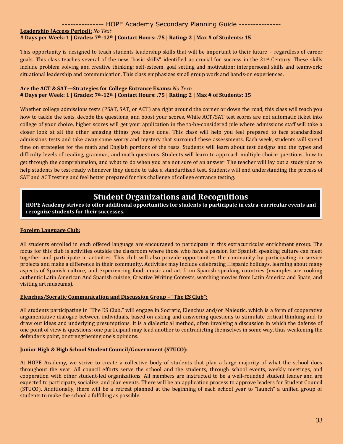#### **Leadership (Access Period):** *No Text* **# Days per Week: 1 | Grades: 7th-12th | Contact Hours: .75 | Rating: 2 | Max # of Students: 15**

This opportunity is designed to teach students leadership skills that will be important to their future – regardless of career goals. This class teaches several of the new "basic skills" identified as crucial for success in the 21st Century. These skills include problem solving and creative thinking; self-esteem, goal setting and motivation; interpersonal skills and teamwork; situational leadership and communication. This class emphasizes small group work and hands-on experiences.

#### **Ace the ACT & SAT—Strategies for College Entrance Exams:** *No Text:* **# Days per Week: 1 | Grades: 7th-12th | Contact Hours: .75 | Rating: 2 | Max # of Students: 15**

Whether college admissions tests (PSAT, SAT, or ACT) are right around the corner or down the road, this class will teach you how to tackle the tests, decode the questions, and boost your scores. While ACT/SAT test scores are not automatic ticket into college of your choice, higher scores will get your application in the to-be-considered pile where admissions staff will take a closer look at all the other amazing things you have done. This class will help you feel prepared to face standardized admissions tests and take away some worry and mystery that surround these assessments. Each week, students will spend time on strategies for the math and English portions of the tests. Students will learn about test designs and the types and difficulty levels of reading, grammar, and math questions. Students will learn to approach multiple choice questions, how to get through the comprehension, and what to do when you are not sure of an answer. The teacher will lay out a study plan to help students be test-ready whenever they decide to take a standardized test. Students will end understanding the process of SAT and ACT testing and feel better prepared for this challenge of college entrance testing.

### **Student Organizations and Recognitions**

**HOPE Academy strives to offer additional opportunities for students to participate in extra-curricular events and recognize students for their successes.** 

#### **Foreign Language Club:**

All students enrolled in each offered language are encouraged to participate in this extracurricular enrichment group. The focus for this club is activities outside the classroom where those who have a passion for Spanish speaking culture can meet together and participate in activities. This club will also provide opportunities the community by participating in service projects and make a difference in their community. Activities may include celebrating Hispanic holidays, learning about many aspects of Spanish culture, and experiencing food, music and art from Spanish speaking countries (examples are cooking authentic Latin American And Spanish cuisine, Creative Writing Contests, watching movies from Latin America and Spain, and visiting art museums).

#### **Elenchus/Socratic Communication and Discussion Group – "The ES Club":**

All students participating in "The ES Club," will engage in Socratic, Elenchus and/or Maieutic, which is a form of cooperative argumentative dialogue between individuals, based on asking and answering questions to stimulate critical thinking and to draw out ideas and underlying presumptions. It is a dialectic al method, often involving a discussion in which the defense of one point of view is questions; one participant may lead another to contradicting themselves in some way, thus weakening the defender's point, or strengthening one's opinions.

#### **Junior High & High School Student Council/Government (STUCO):**

At HOPE Academy, we strive to create a collective body of students that plan a large majority of what the school does throughout the year. All council efforts serve the school and the students, through school events, weekly meetings, and cooperation with other student-led organizations. All members are instructed to be a well-rounded student leader and are expected to participate, socialize, and plan events. There will be an application process to approve leaders for Student Council (STUCO). Additionally, there will be a retreat planned at the beginning of each school year to "launch" a unified group of students to make the school a fulfilling as possible.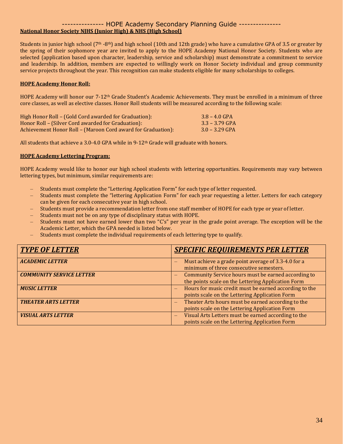#### --------------- HOPE Academy Secondary Planning Guide --------------- **National Honor Society NJHS (Junior High) & NHS (High School)**

Students in junior high school (7<sup>th</sup> -8<sup>th</sup>) and high school (10th and 12th grade) who have a cumulative GPA of 3.5 or greater by the spring of their sophomore year are invited to apply to the HOPE Academy National Honor Society. Students who are selected (application based upon character, leadership, service and scholarship) must demonstrate a commitment to service and leadership. In addition, members are expected to willingly work on Honor Society individual and group community service projects throughout the year. This recognition can make students eligible for many scholarships to colleges.

#### **HOPE Academy Honor Roll:**

HOPE Academy will honor our 7-12th Grade Student's Academic Achievements. They must be enrolled in a minimum of three core classes, as well as elective classes. Honor Roll students will be measured according to the following scale:

| High Honor Roll – (Gold Cord awarded for Graduation):        | $3.8 - 4.0$ GPA  |
|--------------------------------------------------------------|------------------|
| Honor Roll – (Silver Cord awarded for Graduation):           | $3.3 - 3.79$ GPA |
| Achievement Honor Roll - (Maroon Cord award for Graduation): | $3.0 - 3.29$ GPA |

All students that achieve a 3.0-4.0 GPA while in  $9-12<sup>th</sup>$  Grade will graduate with honors.

#### **HOPE Academy Lettering Program:**

HOPE Academy would like to honor our high school students with lettering opportunities. Requirements may vary between lettering types, but minimum, similar requirements are:

- Students must complete the "Lettering Application Form" for each type of letter requested.
- Students must complete the "lettering Application Form" for each year requesting a letter. Letters for each category can be given for each consecutive year in high school.
- Students must provide a recommendation letter from one staff member of HOPE for each type or year of letter.
- Students must not be on any type of disciplinary status with HOPE.
- Students must not have earned lower than two "C's" per year in the grade point average. The exception will be the Academic Letter, which the GPA needed is listed below.
- Students must complete the individual requirements of each lettering type to qualify.

| <b>TYPE OF LETTER</b>           | <b>SPECIFIC REQUIREMENTS PER LETTER</b>                                                                                               |
|---------------------------------|---------------------------------------------------------------------------------------------------------------------------------------|
| <b>ACADEMIC LETTER</b>          | Must achieve a grade point average of 3.3-4.0 for a<br>minimum of three consecutive semesters.                                        |
| <b>COMMUNITY SERVICE LETTER</b> | Community Service hours must be earned according to<br>$\overline{\phantom{0}}$<br>the points scale on the Lettering Application Form |
| <b>MUSIC LETTER</b>             | Hours for music credit must be earned according to the<br>$\overline{\phantom{0}}$<br>points scale on the Lettering Application Form  |
| <b>THEATER ARTS LETTER</b>      | Theater Arts hours must be earned according to the<br>$\overline{\phantom{0}}$<br>points scale on the Lettering Application Form      |
| <b>VISUAL ARTS LETTER</b>       | Visual Arts Letters must be earned according to the<br>–<br>points scale on the Lettering Application Form                            |